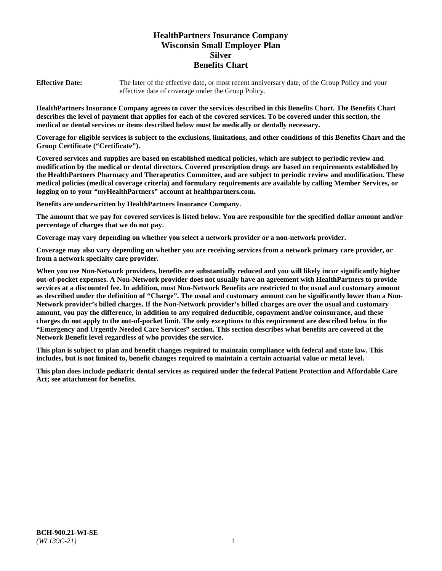# **HealthPartners Insurance Company Wisconsin Small Employer Plan Silver Benefits Chart**

**Effective Date:** The later of the effective date, or most recent anniversary date, of the Group Policy and your effective date of coverage under the Group Policy.

**HealthPartners Insurance Company agrees to cover the services described in this Benefits Chart. The Benefits Chart describes the level of payment that applies for each of the covered services. To be covered under this section, the medical or dental services or items described below must be medically or dentally necessary.**

**Coverage for eligible services is subject to the exclusions, limitations, and other conditions of this Benefits Chart and the Group Certificate ("Certificate").**

**Covered services and supplies are based on established medical policies, which are subject to periodic review and modification by the medical or dental directors. Covered prescription drugs are based on requirements established by the HealthPartners Pharmacy and Therapeutics Committee, and are subject to periodic review and modification. These medical policies (medical coverage criteria) and formulary requirements are available by calling Member Services, or logging on to your "***my***HealthPartners" account at [healthpartners.com.](https://www.healthpartners.com/hp/index.html)**

**Benefits are underwritten by HealthPartners Insurance Company.**

**The amount that we pay for covered services is listed below. You are responsible for the specified dollar amount and/or percentage of charges that we do not pay.**

**Coverage may vary depending on whether you select a network provider or a non-network provider.**

**Coverage may also vary depending on whether you are receiving services from a network primary care provider, or from a network specialty care provider.**

**When you use Non-Network providers, benefits are substantially reduced and you will likely incur significantly higher out-of-pocket expenses. A Non-Network provider does not usually have an agreement with HealthPartners to provide services at a discounted fee. In addition, most Non-Network Benefits are restricted to the usual and customary amount as described under the definition of "Charge". The usual and customary amount can be significantly lower than a Non-Network provider's billed charges. If the Non-Network provider's billed charges are over the usual and customary amount, you pay the difference, in addition to any required deductible, copayment and/or coinsurance, and these charges do not apply to the out-of-pocket limit. The only exceptions to this requirement are described below in the "Emergency and Urgently Needed Care Services" section. This section describes what benefits are covered at the Network Benefit level regardless of who provides the service.**

**This plan is subject to plan and benefit changes required to maintain compliance with federal and state law. This includes, but is not limited to, benefit changes required to maintain a certain actuarial value or metal level.**

**This plan does include pediatric dental services as required under the federal Patient Protection and Affordable Care Act; see attachment for benefits.**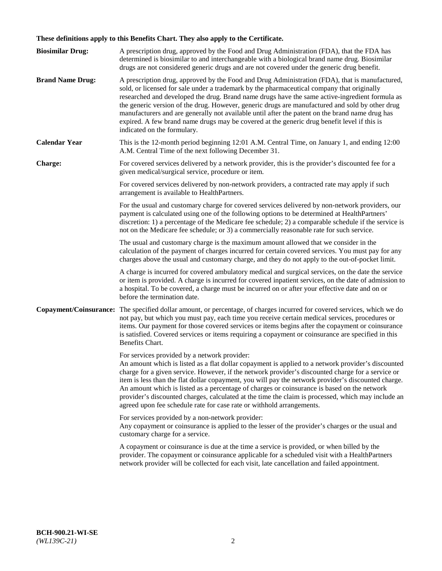# **These definitions apply to this Benefits Chart. They also apply to the Certificate.**

| <b>Biosimilar Drug:</b> | A prescription drug, approved by the Food and Drug Administration (FDA), that the FDA has<br>determined is biosimilar to and interchangeable with a biological brand name drug. Biosimilar<br>drugs are not considered generic drugs and are not covered under the generic drug benefit.                                                                                                                                                                                                                                                                                                                                                     |
|-------------------------|----------------------------------------------------------------------------------------------------------------------------------------------------------------------------------------------------------------------------------------------------------------------------------------------------------------------------------------------------------------------------------------------------------------------------------------------------------------------------------------------------------------------------------------------------------------------------------------------------------------------------------------------|
| <b>Brand Name Drug:</b> | A prescription drug, approved by the Food and Drug Administration (FDA), that is manufactured,<br>sold, or licensed for sale under a trademark by the pharmaceutical company that originally<br>researched and developed the drug. Brand name drugs have the same active-ingredient formula as<br>the generic version of the drug. However, generic drugs are manufactured and sold by other drug<br>manufacturers and are generally not available until after the patent on the brand name drug has<br>expired. A few brand name drugs may be covered at the generic drug benefit level if this is<br>indicated on the formulary.           |
| <b>Calendar Year</b>    | This is the 12-month period beginning 12:01 A.M. Central Time, on January 1, and ending 12:00<br>A.M. Central Time of the next following December 31.                                                                                                                                                                                                                                                                                                                                                                                                                                                                                        |
| <b>Charge:</b>          | For covered services delivered by a network provider, this is the provider's discounted fee for a<br>given medical/surgical service, procedure or item.                                                                                                                                                                                                                                                                                                                                                                                                                                                                                      |
|                         | For covered services delivered by non-network providers, a contracted rate may apply if such<br>arrangement is available to HealthPartners.                                                                                                                                                                                                                                                                                                                                                                                                                                                                                                  |
|                         | For the usual and customary charge for covered services delivered by non-network providers, our<br>payment is calculated using one of the following options to be determined at HealthPartners'<br>discretion: 1) a percentage of the Medicare fee schedule; 2) a comparable schedule if the service is<br>not on the Medicare fee schedule; or 3) a commercially reasonable rate for such service.                                                                                                                                                                                                                                          |
|                         | The usual and customary charge is the maximum amount allowed that we consider in the<br>calculation of the payment of charges incurred for certain covered services. You must pay for any<br>charges above the usual and customary charge, and they do not apply to the out-of-pocket limit.                                                                                                                                                                                                                                                                                                                                                 |
|                         | A charge is incurred for covered ambulatory medical and surgical services, on the date the service<br>or item is provided. A charge is incurred for covered inpatient services, on the date of admission to<br>a hospital. To be covered, a charge must be incurred on or after your effective date and on or<br>before the termination date.                                                                                                                                                                                                                                                                                                |
| Copayment/Coinsurance:  | The specified dollar amount, or percentage, of charges incurred for covered services, which we do<br>not pay, but which you must pay, each time you receive certain medical services, procedures or<br>items. Our payment for those covered services or items begins after the copayment or coinsurance<br>is satisfied. Covered services or items requiring a copayment or coinsurance are specified in this<br>Benefits Chart.                                                                                                                                                                                                             |
|                         | For services provided by a network provider:<br>An amount which is listed as a flat dollar copayment is applied to a network provider's discounted<br>charge for a given service. However, if the network provider's discounted charge for a service or<br>item is less than the flat dollar copayment, you will pay the network provider's discounted charge.<br>An amount which is listed as a percentage of charges or coinsurance is based on the network<br>provider's discounted charges, calculated at the time the claim is processed, which may include an<br>agreed upon fee schedule rate for case rate or withhold arrangements. |
|                         | For services provided by a non-network provider:<br>Any copayment or coinsurance is applied to the lesser of the provider's charges or the usual and<br>customary charge for a service.                                                                                                                                                                                                                                                                                                                                                                                                                                                      |
|                         | A copayment or coinsurance is due at the time a service is provided, or when billed by the<br>provider. The copayment or coinsurance applicable for a scheduled visit with a HealthPartners<br>network provider will be collected for each visit, late cancellation and failed appointment.                                                                                                                                                                                                                                                                                                                                                  |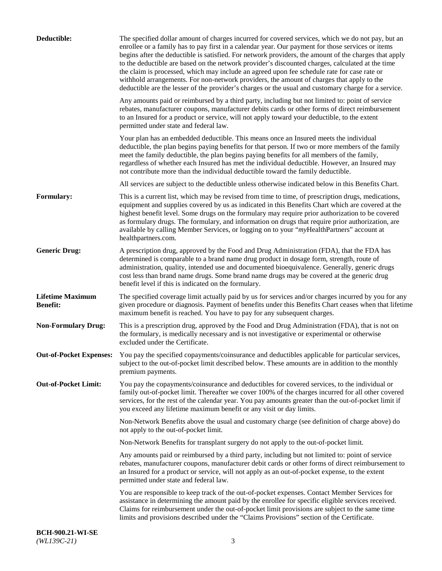| Deductible:                                | The specified dollar amount of charges incurred for covered services, which we do not pay, but an<br>enrollee or a family has to pay first in a calendar year. Our payment for those services or items<br>begins after the deductible is satisfied. For network providers, the amount of the charges that apply<br>to the deductible are based on the network provider's discounted charges, calculated at the time<br>the claim is processed, which may include an agreed upon fee schedule rate for case rate or<br>withhold arrangements. For non-network providers, the amount of charges that apply to the<br>deductible are the lesser of the provider's charges or the usual and customary charge for a service. |
|--------------------------------------------|-------------------------------------------------------------------------------------------------------------------------------------------------------------------------------------------------------------------------------------------------------------------------------------------------------------------------------------------------------------------------------------------------------------------------------------------------------------------------------------------------------------------------------------------------------------------------------------------------------------------------------------------------------------------------------------------------------------------------|
|                                            | Any amounts paid or reimbursed by a third party, including but not limited to: point of service<br>rebates, manufacturer coupons, manufacturer debits cards or other forms of direct reimbursement<br>to an Insured for a product or service, will not apply toward your deductible, to the extent<br>permitted under state and federal law.                                                                                                                                                                                                                                                                                                                                                                            |
|                                            | Your plan has an embedded deductible. This means once an Insured meets the individual<br>deductible, the plan begins paying benefits for that person. If two or more members of the family<br>meet the family deductible, the plan begins paying benefits for all members of the family,<br>regardless of whether each Insured has met the individual deductible. However, an Insured may<br>not contribute more than the individual deductible toward the family deductible.                                                                                                                                                                                                                                           |
|                                            | All services are subject to the deductible unless otherwise indicated below in this Benefits Chart.                                                                                                                                                                                                                                                                                                                                                                                                                                                                                                                                                                                                                     |
| Formulary:                                 | This is a current list, which may be revised from time to time, of prescription drugs, medications,<br>equipment and supplies covered by us as indicated in this Benefits Chart which are covered at the<br>highest benefit level. Some drugs on the formulary may require prior authorization to be covered<br>as formulary drugs. The formulary, and information on drugs that require prior authorization, are<br>available by calling Member Services, or logging on to your "myHealthPartners" account at<br>healthpartners.com.                                                                                                                                                                                   |
| <b>Generic Drug:</b>                       | A prescription drug, approved by the Food and Drug Administration (FDA), that the FDA has<br>determined is comparable to a brand name drug product in dosage form, strength, route of<br>administration, quality, intended use and documented bioequivalence. Generally, generic drugs<br>cost less than brand name drugs. Some brand name drugs may be covered at the generic drug<br>benefit level if this is indicated on the formulary.                                                                                                                                                                                                                                                                             |
| <b>Lifetime Maximum</b><br><b>Benefit:</b> | The specified coverage limit actually paid by us for services and/or charges incurred by you for any<br>given procedure or diagnosis. Payment of benefits under this Benefits Chart ceases when that lifetime<br>maximum benefit is reached. You have to pay for any subsequent charges.                                                                                                                                                                                                                                                                                                                                                                                                                                |
| <b>Non-Formulary Drug:</b>                 | This is a prescription drug, approved by the Food and Drug Administration (FDA), that is not on<br>the formulary, is medically necessary and is not investigative or experimental or otherwise<br>excluded under the Certificate.                                                                                                                                                                                                                                                                                                                                                                                                                                                                                       |
|                                            | Out-of-Pocket Expenses: You pay the specified copayments/coinsurance and deductibles applicable for particular services,<br>subject to the out-of-pocket limit described below. These amounts are in addition to the monthly<br>premium payments.                                                                                                                                                                                                                                                                                                                                                                                                                                                                       |
| <b>Out-of-Pocket Limit:</b>                | You pay the copayments/coinsurance and deductibles for covered services, to the individual or<br>family out-of-pocket limit. Thereafter we cover 100% of the charges incurred for all other covered<br>services, for the rest of the calendar year. You pay amounts greater than the out-of-pocket limit if<br>you exceed any lifetime maximum benefit or any visit or day limits.                                                                                                                                                                                                                                                                                                                                      |
|                                            | Non-Network Benefits above the usual and customary charge (see definition of charge above) do<br>not apply to the out-of-pocket limit.                                                                                                                                                                                                                                                                                                                                                                                                                                                                                                                                                                                  |
|                                            | Non-Network Benefits for transplant surgery do not apply to the out-of-pocket limit.                                                                                                                                                                                                                                                                                                                                                                                                                                                                                                                                                                                                                                    |
|                                            | Any amounts paid or reimbursed by a third party, including but not limited to: point of service<br>rebates, manufacturer coupons, manufacturer debit cards or other forms of direct reimbursement to<br>an Insured for a product or service, will not apply as an out-of-pocket expense, to the extent<br>permitted under state and federal law.                                                                                                                                                                                                                                                                                                                                                                        |
|                                            | You are responsible to keep track of the out-of-pocket expenses. Contact Member Services for<br>assistance in determining the amount paid by the enrollee for specific eligible services received.<br>Claims for reimbursement under the out-of-pocket limit provisions are subject to the same time<br>limits and provisions described under the "Claims Provisions" section of the Certificate.                                                                                                                                                                                                                                                                                                                       |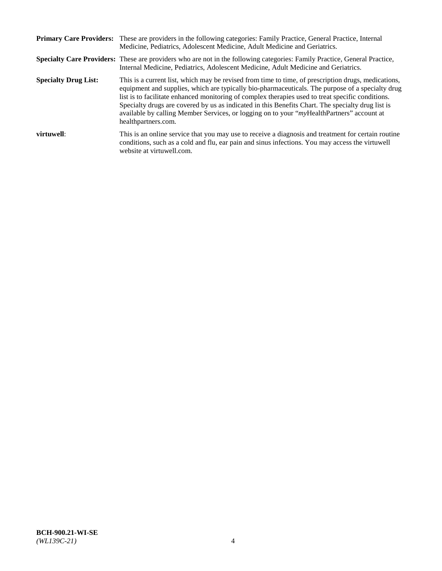|                             | Primary Care Providers: These are providers in the following categories: Family Practice, General Practice, Internal<br>Medicine, Pediatrics, Adolescent Medicine, Adult Medicine and Geriatrics.                                                                                                                                                                                                                                                                                                                                     |
|-----------------------------|---------------------------------------------------------------------------------------------------------------------------------------------------------------------------------------------------------------------------------------------------------------------------------------------------------------------------------------------------------------------------------------------------------------------------------------------------------------------------------------------------------------------------------------|
|                             | <b>Specialty Care Providers:</b> These are providers who are not in the following categories: Family Practice, General Practice,<br>Internal Medicine, Pediatrics, Adolescent Medicine, Adult Medicine and Geriatrics.                                                                                                                                                                                                                                                                                                                |
| <b>Specialty Drug List:</b> | This is a current list, which may be revised from time to time, of prescription drugs, medications,<br>equipment and supplies, which are typically bio-pharmaceuticals. The purpose of a specialty drug<br>list is to facilitate enhanced monitoring of complex therapies used to treat specific conditions.<br>Specialty drugs are covered by us as indicated in this Benefits Chart. The specialty drug list is<br>available by calling Member Services, or logging on to your "myHealthPartners" account at<br>healthpartners.com. |
| virtuwell:                  | This is an online service that you may use to receive a diagnosis and treatment for certain routine<br>conditions, such as a cold and flu, ear pain and sinus infections. You may access the virtuwell<br>website at virtuwell.com.                                                                                                                                                                                                                                                                                                   |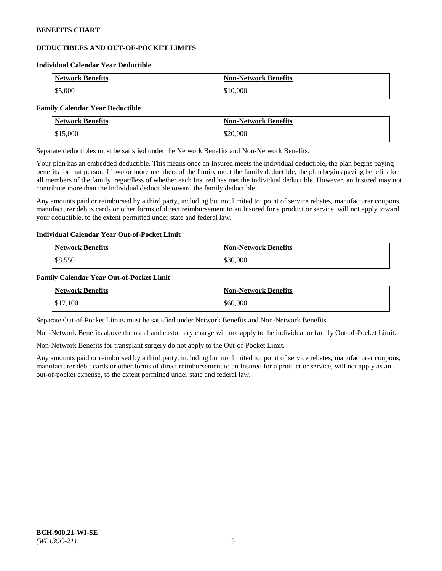# **DEDUCTIBLES AND OUT-OF-POCKET LIMITS**

#### **Individual Calendar Year Deductible**

| <b>Network Benefits</b> | <b>Non-Network Benefits</b> |
|-------------------------|-----------------------------|
| \$5,000                 | \$10,000                    |

#### **Family Calendar Year Deductible**

| <b>Network Benefits</b> | <b>Non-Network Benefits</b> |
|-------------------------|-----------------------------|
| \$15,000                | \$20,000                    |

Separate deductibles must be satisfied under the Network Benefits and Non-Network Benefits.

Your plan has an embedded deductible. This means once an Insured meets the individual deductible, the plan begins paying benefits for that person. If two or more members of the family meet the family deductible, the plan begins paying benefits for all members of the family, regardless of whether each Insured has met the individual deductible. However, an Insured may not contribute more than the individual deductible toward the family deductible.

Any amounts paid or reimbursed by a third party, including but not limited to: point of service rebates, manufacturer coupons, manufacturer debits cards or other forms of direct reimbursement to an Insured for a product or service, will not apply toward your deductible, to the extent permitted under state and federal law.

# **Individual Calendar Year Out-of-Pocket Limit**

| <b>Network Benefits</b> | <b>Non-Network Benefits</b> |
|-------------------------|-----------------------------|
| \$8,550                 | \$30,000                    |

### **Family Calendar Year Out-of-Pocket Limit**

| <b>Network Benefits</b> | <b>Non-Network Benefits</b> |
|-------------------------|-----------------------------|
| \$17,100                | \$60,000                    |

Separate Out-of-Pocket Limits must be satisfied under Network Benefits and Non-Network Benefits.

Non-Network Benefits above the usual and customary charge will not apply to the individual or family Out-of-Pocket Limit.

Non-Network Benefits for transplant surgery do not apply to the Out-of-Pocket Limit.

Any amounts paid or reimbursed by a third party, including but not limited to: point of service rebates, manufacturer coupons, manufacturer debit cards or other forms of direct reimbursement to an Insured for a product or service, will not apply as an out-of-pocket expense, to the extent permitted under state and federal law.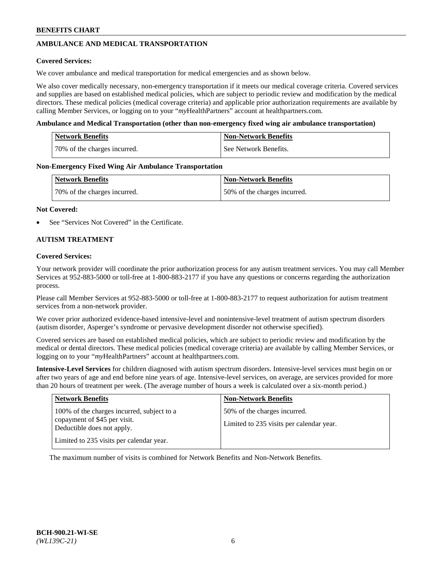# **AMBULANCE AND MEDICAL TRANSPORTATION**

### **Covered Services:**

We cover ambulance and medical transportation for medical emergencies and as shown below.

We also cover medically necessary, non-emergency transportation if it meets our medical coverage criteria. Covered services and supplies are based on established medical policies, which are subject to periodic review and modification by the medical directors. These medical policies (medical coverage criteria) and applicable prior authorization requirements are available by calling Member Services, or logging on to your "*my*HealthPartners" account a[t healthpartners.com.](https://www.healthpartners.com/hp/index.html)

### **Ambulance and Medical Transportation (other than non-emergency fixed wing air ambulance transportation)**

| <b>Network Benefits</b>      | <b>Non-Network Benefits</b> |
|------------------------------|-----------------------------|
| 70% of the charges incurred. | See Network Benefits.       |

### **Non-Emergency Fixed Wing Air Ambulance Transportation**

| <b>Network Benefits</b>      | <b>Non-Network Benefits</b>  |
|------------------------------|------------------------------|
| 70% of the charges incurred. | 50% of the charges incurred. |

### **Not Covered:**

See "Services Not Covered" in the Certificate.

# **AUTISM TREATMENT**

### **Covered Services:**

Your network provider will coordinate the prior authorization process for any autism treatment services. You may call Member Services at 952-883-5000 or toll-free at 1-800-883-2177 if you have any questions or concerns regarding the authorization process.

Please call Member Services at 952-883-5000 or toll-free at 1-800-883-2177 to request authorization for autism treatment services from a non-network provider.

We cover prior authorized evidence-based intensive-level and nonintensive-level treatment of autism spectrum disorders (autism disorder, Asperger's syndrome or pervasive development disorder not otherwise specified).

Covered services are based on established medical policies, which are subject to periodic review and modification by the medical or dental directors. These medical policies (medical coverage criteria) are available by calling Member Services, or logging on to your "*my*HealthPartners" account at [healthpartners.com.](https://www.healthpartners.com/hp/index.html)

**Intensive-Level Services** for children diagnosed with autism spectrum disorders. Intensive-level services must begin on or after two years of age and end before nine years of age. Intensive-level services, on average, are services provided for more than 20 hours of treatment per week. (The average number of hours a week is calculated over a six-month period.)

| <b>Network Benefits</b>                                                                                                                              | <b>Non-Network Benefits</b>                                              |
|------------------------------------------------------------------------------------------------------------------------------------------------------|--------------------------------------------------------------------------|
| 100% of the charges incurred, subject to a<br>copayment of \$45 per visit.<br>Deductible does not apply.<br>Limited to 235 visits per calendar year. | 50% of the charges incurred.<br>Limited to 235 visits per calendar year. |

The maximum number of visits is combined for Network Benefits and Non-Network Benefits.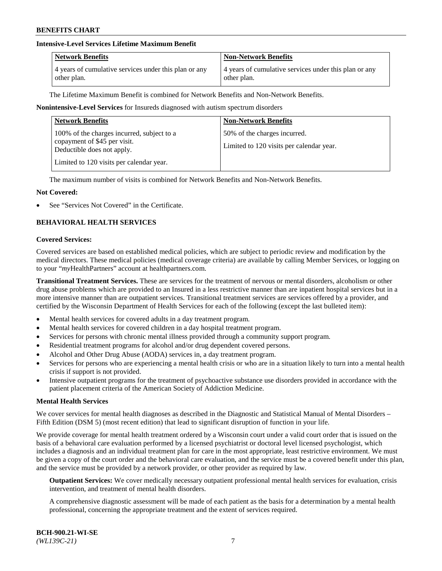# **Intensive-Level Services Lifetime Maximum Benefit**

| <b>Network Benefits</b>                               | <b>Non-Network Benefits</b>                           |
|-------------------------------------------------------|-------------------------------------------------------|
| 4 years of cumulative services under this plan or any | 4 years of cumulative services under this plan or any |
| other plan.                                           | other plan.                                           |

The Lifetime Maximum Benefit is combined for Network Benefits and Non-Network Benefits.

### **Nonintensive-Level Services** for Insureds diagnosed with autism spectrum disorders

| <b>Non-Network Benefits</b>                                              |
|--------------------------------------------------------------------------|
| 50% of the charges incurred.<br>Limited to 120 visits per calendar year. |
|                                                                          |

The maximum number of visits is combined for Network Benefits and Non-Network Benefits.

### **Not Covered:**

See "Services Not Covered" in the Certificate.

# **BEHAVIORAL HEALTH SERVICES**

#### **Covered Services:**

Covered services are based on established medical policies, which are subject to periodic review and modification by the medical directors. These medical policies (medical coverage criteria) are available by calling Member Services, or logging on to your "*my*HealthPartners" account at [healthpartners.com.](https://www.healthpartners.com/hp/index.html)

**Transitional Treatment Services.** These are services for the treatment of nervous or mental disorders, alcoholism or other drug abuse problems which are provided to an Insured in a less restrictive manner than are inpatient hospital services but in a more intensive manner than are outpatient services. Transitional treatment services are services offered by a provider, and certified by the Wisconsin Department of Health Services for each of the following (except the last bulleted item):

- Mental health services for covered adults in a day treatment program.
- Mental health services for covered children in a day hospital treatment program.
- Services for persons with chronic mental illness provided through a community support program.
- Residential treatment programs for alcohol and/or drug dependent covered persons.
- Alcohol and Other Drug Abuse (AODA) services in, a day treatment program.
- Services for persons who are experiencing a mental health crisis or who are in a situation likely to turn into a mental health crisis if support is not provided.
- Intensive outpatient programs for the treatment of psychoactive substance use disorders provided in accordance with the patient placement criteria of the American Society of Addiction Medicine.

#### **Mental Health Services**

We cover services for mental health diagnoses as described in the Diagnostic and Statistical Manual of Mental Disorders – Fifth Edition (DSM 5) (most recent edition) that lead to significant disruption of function in your life.

We provide coverage for mental health treatment ordered by a Wisconsin court under a valid court order that is issued on the basis of a behavioral care evaluation performed by a licensed psychiatrist or doctoral level licensed psychologist, which includes a diagnosis and an individual treatment plan for care in the most appropriate, least restrictive environment. We must be given a copy of the court order and the behavioral care evaluation, and the service must be a covered benefit under this plan, and the service must be provided by a network provider, or other provider as required by law.

**Outpatient Services:** We cover medically necessary outpatient professional mental health services for evaluation, crisis intervention, and treatment of mental health disorders.

A comprehensive diagnostic assessment will be made of each patient as the basis for a determination by a mental health professional, concerning the appropriate treatment and the extent of services required.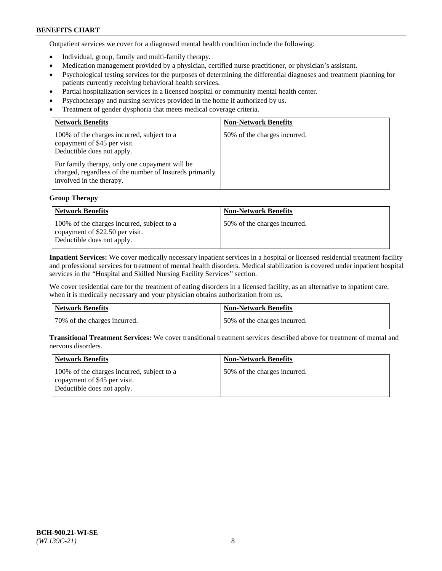Outpatient services we cover for a diagnosed mental health condition include the following:

- Individual, group, family and multi-family therapy.
- Medication management provided by a physician, certified nurse practitioner, or physician's assistant.
- Psychological testing services for the purposes of determining the differential diagnoses and treatment planning for patients currently receiving behavioral health services.
- Partial hospitalization services in a licensed hospital or community mental health center.
- Psychotherapy and nursing services provided in the home if authorized by us.
- Treatment of gender dysphoria that meets medical coverage criteria.

| <b>Network Benefits</b>                                                                                                                                                                                                                           | <b>Non-Network Benefits</b>  |
|---------------------------------------------------------------------------------------------------------------------------------------------------------------------------------------------------------------------------------------------------|------------------------------|
| 100% of the charges incurred, subject to a<br>copayment of \$45 per visit.<br>Deductible does not apply.<br>For family therapy, only one copayment will be<br>charged, regardless of the number of Insureds primarily<br>involved in the therapy. | 50% of the charges incurred. |

## **Group Therapy**

| <b>Network Benefits</b>                                                                                     | <b>Non-Network Benefits</b>  |
|-------------------------------------------------------------------------------------------------------------|------------------------------|
| 100% of the charges incurred, subject to a<br>copayment of \$22.50 per visit.<br>Deductible does not apply. | 50% of the charges incurred. |

**Inpatient Services:** We cover medically necessary inpatient services in a hospital or licensed residential treatment facility and professional services for treatment of mental health disorders. Medical stabilization is covered under inpatient hospital services in the "Hospital and Skilled Nursing Facility Services" section.

We cover residential care for the treatment of eating disorders in a licensed facility, as an alternative to inpatient care, when it is medically necessary and your physician obtains authorization from us.

| Network Benefits             | <b>Non-Network Benefits</b>   |
|------------------------------|-------------------------------|
| 70% of the charges incurred. | 150% of the charges incurred. |

**Transitional Treatment Services:** We cover transitional treatment services described above for treatment of mental and nervous disorders.

| Network Benefits                                                                                         | <b>Non-Network Benefits</b>  |
|----------------------------------------------------------------------------------------------------------|------------------------------|
| 100% of the charges incurred, subject to a<br>copayment of \$45 per visit.<br>Deductible does not apply. | 50% of the charges incurred. |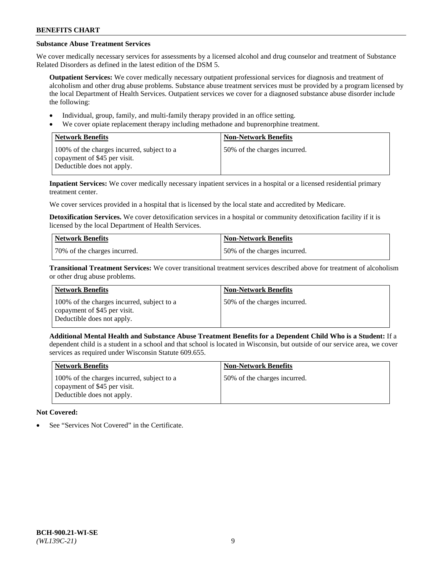# **Substance Abuse Treatment Services**

We cover medically necessary services for assessments by a licensed alcohol and drug counselor and treatment of Substance Related Disorders as defined in the latest edition of the DSM 5.

**Outpatient Services:** We cover medically necessary outpatient professional services for diagnosis and treatment of alcoholism and other drug abuse problems. Substance abuse treatment services must be provided by a program licensed by the local Department of Health Services. Outpatient services we cover for a diagnosed substance abuse disorder include the following:

- Individual, group, family, and multi-family therapy provided in an office setting.
- We cover opiate replacement therapy including methadone and buprenorphine treatment.

| <b>Network Benefits</b>                                                                                  | <b>Non-Network Benefits</b>  |
|----------------------------------------------------------------------------------------------------------|------------------------------|
| 100% of the charges incurred, subject to a<br>copayment of \$45 per visit.<br>Deductible does not apply. | 50% of the charges incurred. |

**Inpatient Services:** We cover medically necessary inpatient services in a hospital or a licensed residential primary treatment center.

We cover services provided in a hospital that is licensed by the local state and accredited by Medicare.

**Detoxification Services.** We cover detoxification services in a hospital or community detoxification facility if it is licensed by the local Department of Health Services.

| Network Benefits             | <b>Non-Network Benefits</b>  |
|------------------------------|------------------------------|
| 70% of the charges incurred. | 50% of the charges incurred. |

**Transitional Treatment Services:** We cover transitional treatment services described above for treatment of alcoholism or other drug abuse problems.

| <b>Network Benefits</b>                                                                                  | <b>Non-Network Benefits</b>  |
|----------------------------------------------------------------------------------------------------------|------------------------------|
| 100% of the charges incurred, subject to a<br>copayment of \$45 per visit.<br>Deductible does not apply. | 50% of the charges incurred. |

**Additional Mental Health and Substance Abuse Treatment Benefits for a Dependent Child Who is a Student:** If a dependent child is a student in a school and that school is located in Wisconsin, but outside of our service area, we cover services as required under Wisconsin Statute 609.655.

| <b>Network Benefits</b>                                                                                  | <b>Non-Network Benefits</b>  |
|----------------------------------------------------------------------------------------------------------|------------------------------|
| 100% of the charges incurred, subject to a<br>copayment of \$45 per visit.<br>Deductible does not apply. | 50% of the charges incurred. |

# **Not Covered:**

See "Services Not Covered" in the Certificate.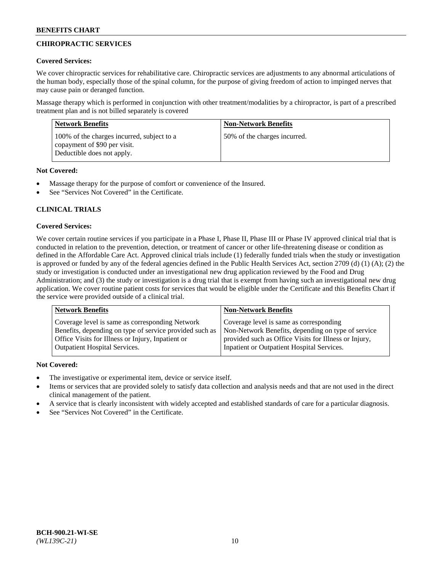# **CHIROPRACTIC SERVICES**

# **Covered Services:**

We cover chiropractic services for rehabilitative care. Chiropractic services are adjustments to any abnormal articulations of the human body, especially those of the spinal column, for the purpose of giving freedom of action to impinged nerves that may cause pain or deranged function.

Massage therapy which is performed in conjunction with other treatment/modalities by a chiropractor, is part of a prescribed treatment plan and is not billed separately is covered

| <b>Network Benefits</b>                                                                                  | <b>Non-Network Benefits</b>  |
|----------------------------------------------------------------------------------------------------------|------------------------------|
| 100% of the charges incurred, subject to a<br>copayment of \$90 per visit.<br>Deductible does not apply. | 50% of the charges incurred. |

# **Not Covered:**

- Massage therapy for the purpose of comfort or convenience of the Insured.
- See "Services Not Covered" in the Certificate.

# **CLINICAL TRIALS**

# **Covered Services:**

We cover certain routine services if you participate in a Phase I, Phase II, Phase III or Phase IV approved clinical trial that is conducted in relation to the prevention, detection, or treatment of cancer or other life-threatening disease or condition as defined in the Affordable Care Act. Approved clinical trials include (1) federally funded trials when the study or investigation is approved or funded by any of the federal agencies defined in the Public Health Services Act, section 2709 (d) (1) (A); (2) the study or investigation is conducted under an investigational new drug application reviewed by the Food and Drug Administration; and (3) the study or investigation is a drug trial that is exempt from having such an investigational new drug application. We cover routine patient costs for services that would be eligible under the Certificate and this Benefits Chart if the service were provided outside of a clinical trial.

| <b>Network Benefits</b>                                 | <b>Non-Network Benefits</b>                           |
|---------------------------------------------------------|-------------------------------------------------------|
| Coverage level is same as corresponding Network         | Coverage level is same as corresponding               |
| Benefits, depending on type of service provided such as | Non-Network Benefits, depending on type of service    |
| Office Visits for Illness or Injury, Inpatient or       | provided such as Office Visits for Illness or Injury, |
| Outpatient Hospital Services.                           | Inpatient or Outpatient Hospital Services.            |

# **Not Covered:**

- The investigative or experimental item, device or service itself.
- Items or services that are provided solely to satisfy data collection and analysis needs and that are not used in the direct clinical management of the patient.
- A service that is clearly inconsistent with widely accepted and established standards of care for a particular diagnosis.
- See "Services Not Covered" in the Certificate.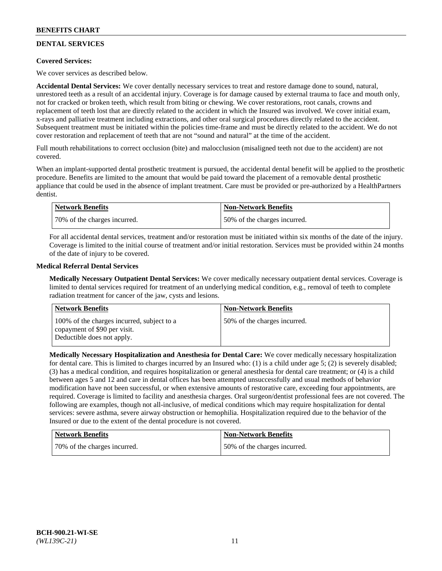# **DENTAL SERVICES**

# **Covered Services:**

We cover services as described below.

**Accidental Dental Services:** We cover dentally necessary services to treat and restore damage done to sound, natural, unrestored teeth as a result of an accidental injury. Coverage is for damage caused by external trauma to face and mouth only, not for cracked or broken teeth, which result from biting or chewing. We cover restorations, root canals, crowns and replacement of teeth lost that are directly related to the accident in which the Insured was involved. We cover initial exam, x-rays and palliative treatment including extractions, and other oral surgical procedures directly related to the accident. Subsequent treatment must be initiated within the policies time-frame and must be directly related to the accident. We do not cover restoration and replacement of teeth that are not "sound and natural" at the time of the accident.

Full mouth rehabilitations to correct occlusion (bite) and malocclusion (misaligned teeth not due to the accident) are not covered.

When an implant-supported dental prosthetic treatment is pursued, the accidental dental benefit will be applied to the prosthetic procedure. Benefits are limited to the amount that would be paid toward the placement of a removable dental prosthetic appliance that could be used in the absence of implant treatment. Care must be provided or pre-authorized by a HealthPartners dentist.

| <b>Network Benefits</b>      | <b>Non-Network Benefits</b>  |
|------------------------------|------------------------------|
| 70% of the charges incurred. | 50% of the charges incurred. |

For all accidental dental services, treatment and/or restoration must be initiated within six months of the date of the injury. Coverage is limited to the initial course of treatment and/or initial restoration. Services must be provided within 24 months of the date of injury to be covered.

# **Medical Referral Dental Services**

**Medically Necessary Outpatient Dental Services:** We cover medically necessary outpatient dental services. Coverage is limited to dental services required for treatment of an underlying medical condition, e.g., removal of teeth to complete radiation treatment for cancer of the jaw, cysts and lesions.

| Network Benefits                                                                                         | <b>Non-Network Benefits</b>  |
|----------------------------------------------------------------------------------------------------------|------------------------------|
| 100% of the charges incurred, subject to a<br>copayment of \$90 per visit.<br>Deductible does not apply. | 50% of the charges incurred. |

**Medically Necessary Hospitalization and Anesthesia for Dental Care:** We cover medically necessary hospitalization for dental care. This is limited to charges incurred by an Insured who: (1) is a child under age 5; (2) is severely disabled; (3) has a medical condition, and requires hospitalization or general anesthesia for dental care treatment; or (4) is a child between ages 5 and 12 and care in dental offices has been attempted unsuccessfully and usual methods of behavior modification have not been successful, or when extensive amounts of restorative care, exceeding four appointments, are required. Coverage is limited to facility and anesthesia charges. Oral surgeon/dentist professional fees are not covered. The following are examples, though not all-inclusive, of medical conditions which may require hospitalization for dental services: severe asthma, severe airway obstruction or hemophilia. Hospitalization required due to the behavior of the Insured or due to the extent of the dental procedure is not covered.

| <b>Network Benefits</b>      | <b>Non-Network Benefits</b>  |
|------------------------------|------------------------------|
| 70% of the charges incurred. | 50% of the charges incurred. |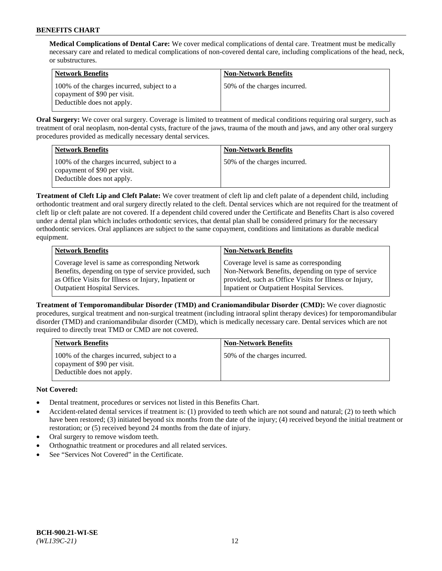**Medical Complications of Dental Care:** We cover medical complications of dental care. Treatment must be medically necessary care and related to medical complications of non-covered dental care, including complications of the head, neck, or substructures.

| <b>Network Benefits</b>                                                                                  | <b>Non-Network Benefits</b>  |
|----------------------------------------------------------------------------------------------------------|------------------------------|
| 100% of the charges incurred, subject to a<br>copayment of \$90 per visit.<br>Deductible does not apply. | 50% of the charges incurred. |

**Oral Surgery:** We cover oral surgery. Coverage is limited to treatment of medical conditions requiring oral surgery, such as treatment of oral neoplasm, non-dental cysts, fracture of the jaws, trauma of the mouth and jaws, and any other oral surgery procedures provided as medically necessary dental services.

| <b>Network Benefits</b>                                                                                  | <b>Non-Network Benefits</b>  |
|----------------------------------------------------------------------------------------------------------|------------------------------|
| 100% of the charges incurred, subject to a<br>copayment of \$90 per visit.<br>Deductible does not apply. | 50% of the charges incurred. |

**Treatment of Cleft Lip and Cleft Palate:** We cover treatment of cleft lip and cleft palate of a dependent child, including orthodontic treatment and oral surgery directly related to the cleft. Dental services which are not required for the treatment of cleft lip or cleft palate are not covered. If a dependent child covered under the Certificate and Benefits Chart is also covered under a dental plan which includes orthodontic services, that dental plan shall be considered primary for the necessary orthodontic services. Oral appliances are subject to the same copayment, conditions and limitations as durable medical equipment.

| <b>Network Benefits</b>                               | <b>Non-Network Benefits</b>                            |
|-------------------------------------------------------|--------------------------------------------------------|
| Coverage level is same as corresponding Network       | Coverage level is same as corresponding                |
| Benefits, depending on type of service provided, such | Non-Network Benefits, depending on type of service     |
| as Office Visits for Illness or Injury, Inpatient or  | provided, such as Office Visits for Illness or Injury, |
| Outpatient Hospital Services.                         | Inpatient or Outpatient Hospital Services.             |

**Treatment of Temporomandibular Disorder (TMD) and Craniomandibular Disorder (CMD):** We cover diagnostic procedures, surgical treatment and non-surgical treatment (including intraoral splint therapy devices) for temporomandibular disorder (TMD) and craniomandibular disorder (CMD), which is medically necessary care. Dental services which are not required to directly treat TMD or CMD are not covered.

| <b>Network Benefits</b>                                                                                  | <b>Non-Network Benefits</b>  |
|----------------------------------------------------------------------------------------------------------|------------------------------|
| 100% of the charges incurred, subject to a<br>copayment of \$90 per visit.<br>Deductible does not apply. | 50% of the charges incurred. |

# **Not Covered:**

- Dental treatment, procedures or services not listed in this Benefits Chart.
- Accident-related dental services if treatment is: (1) provided to teeth which are not sound and natural; (2) to teeth which have been restored; (3) initiated beyond six months from the date of the injury; (4) received beyond the initial treatment or restoration; or (5) received beyond 24 months from the date of injury.
- Oral surgery to remove wisdom teeth.
- Orthognathic treatment or procedures and all related services.
- See "Services Not Covered" in the Certificate.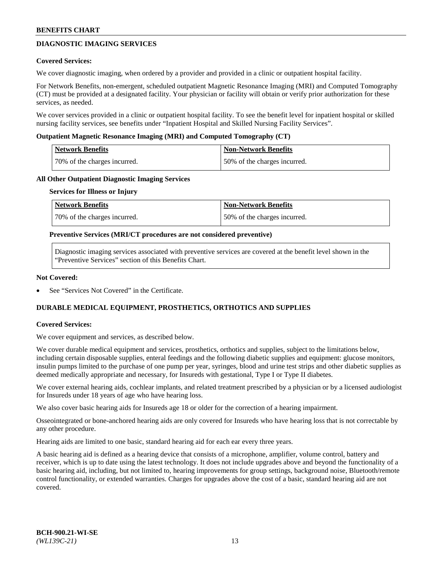# **DIAGNOSTIC IMAGING SERVICES**

### **Covered Services:**

We cover diagnostic imaging, when ordered by a provider and provided in a clinic or outpatient hospital facility.

For Network Benefits, non-emergent, scheduled outpatient Magnetic Resonance Imaging (MRI) and Computed Tomography (CT) must be provided at a designated facility. Your physician or facility will obtain or verify prior authorization for these services, as needed.

We cover services provided in a clinic or outpatient hospital facility. To see the benefit level for inpatient hospital or skilled nursing facility services, see benefits under "Inpatient Hospital and Skilled Nursing Facility Services".

### **Outpatient Magnetic Resonance Imaging (MRI) and Computed Tomography (CT)**

| <b>Network Benefits</b>      | <b>Non-Network Benefits</b>  |
|------------------------------|------------------------------|
| 70% of the charges incurred. | 50% of the charges incurred. |

### **All Other Outpatient Diagnostic Imaging Services**

#### **Services for Illness or Injury**

| Network Benefits             | <b>Non-Network Benefits</b>  |
|------------------------------|------------------------------|
| 70% of the charges incurred. | 50% of the charges incurred. |

### **Preventive Services (MRI/CT procedures are not considered preventive)**

Diagnostic imaging services associated with preventive services are covered at the benefit level shown in the "Preventive Services" section of this Benefits Chart.

### **Not Covered:**

See "Services Not Covered" in the Certificate.

# **DURABLE MEDICAL EQUIPMENT, PROSTHETICS, ORTHOTICS AND SUPPLIES**

#### **Covered Services:**

We cover equipment and services, as described below.

We cover durable medical equipment and services, prosthetics, orthotics and supplies, subject to the limitations below, including certain disposable supplies, enteral feedings and the following diabetic supplies and equipment: glucose monitors, insulin pumps limited to the purchase of one pump per year, syringes, blood and urine test strips and other diabetic supplies as deemed medically appropriate and necessary, for Insureds with gestational, Type I or Type II diabetes.

We cover external hearing aids, cochlear implants, and related treatment prescribed by a physician or by a licensed audiologist for Insureds under 18 years of age who have hearing loss.

We also cover basic hearing aids for Insureds age 18 or older for the correction of a hearing impairment.

Osseointegrated or bone-anchored hearing aids are only covered for Insureds who have hearing loss that is not correctable by any other procedure.

Hearing aids are limited to one basic, standard hearing aid for each ear every three years.

A basic hearing aid is defined as a hearing device that consists of a microphone, amplifier, volume control, battery and receiver, which is up to date using the latest technology. It does not include upgrades above and beyond the functionality of a basic hearing aid, including, but not limited to, hearing improvements for group settings, background noise, Bluetooth/remote control functionality, or extended warranties. Charges for upgrades above the cost of a basic, standard hearing aid are not covered.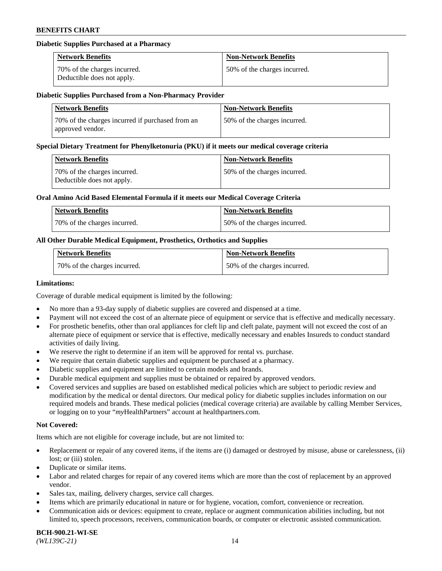### **Diabetic Supplies Purchased at a Pharmacy**

| <b>Network Benefits</b>                                    | <b>Non-Network Benefits</b>  |
|------------------------------------------------------------|------------------------------|
| 70% of the charges incurred.<br>Deductible does not apply. | 50% of the charges incurred. |

#### **Diabetic Supplies Purchased from a Non-Pharmacy Provider**

| <b>Network Benefits</b>                                              | <b>Non-Network Benefits</b>  |
|----------------------------------------------------------------------|------------------------------|
| 70% of the charges incurred if purchased from an<br>approved vendor. | 50% of the charges incurred. |

#### **Special Dietary Treatment for Phenylketonuria (PKU) if it meets our medical coverage criteria**

| Network Benefits                                           | <b>Non-Network Benefits</b>  |
|------------------------------------------------------------|------------------------------|
| 70% of the charges incurred.<br>Deductible does not apply. | 50% of the charges incurred. |

### **Oral Amino Acid Based Elemental Formula if it meets our Medical Coverage Criteria**

| Network Benefits             | <b>Non-Network Benefits</b>  |
|------------------------------|------------------------------|
| 70% of the charges incurred. | 50% of the charges incurred. |

# **All Other Durable Medical Equipment, Prosthetics, Orthotics and Supplies**

| <b>Network Benefits</b>      | <b>Non-Network Benefits</b>  |
|------------------------------|------------------------------|
| 70% of the charges incurred. | 50% of the charges incurred. |

#### **Limitations:**

Coverage of durable medical equipment is limited by the following:

- No more than a 93-day supply of diabetic supplies are covered and dispensed at a time.
- Payment will not exceed the cost of an alternate piece of equipment or service that is effective and medically necessary.
- For prosthetic benefits, other than oral appliances for cleft lip and cleft palate, payment will not exceed the cost of an alternate piece of equipment or service that is effective, medically necessary and enables Insureds to conduct standard
- activities of daily living. We reserve the right to determine if an item will be approved for rental vs. purchase.
- We require that certain diabetic supplies and equipment be purchased at a pharmacy.
- Diabetic supplies and equipment are limited to certain models and brands.
- Durable medical equipment and supplies must be obtained or repaired by approved vendors.
- Covered services and supplies are based on established medical policies which are subject to periodic review and modification by the medical or dental directors. Our medical policy for diabetic supplies includes information on our required models and brands. These medical policies (medical coverage criteria) are available by calling Member Services, or logging on to your "*my*HealthPartners" account a[t healthpartners.com.](https://www.healthpartners.com/hp/index.html)

# **Not Covered:**

Items which are not eligible for coverage include, but are not limited to:

- Replacement or repair of any covered items, if the items are (i) damaged or destroyed by misuse, abuse or carelessness, (ii) lost; or (iii) stolen.
- Duplicate or similar items.
- Labor and related charges for repair of any covered items which are more than the cost of replacement by an approved vendor.
- Sales tax, mailing, delivery charges, service call charges.
- Items which are primarily educational in nature or for hygiene, vocation, comfort, convenience or recreation.
- Communication aids or devices: equipment to create, replace or augment communication abilities including, but not limited to, speech processors, receivers, communication boards, or computer or electronic assisted communication.

#### **BCH-900.21-WI-SE**  *(WL139C-21)* 14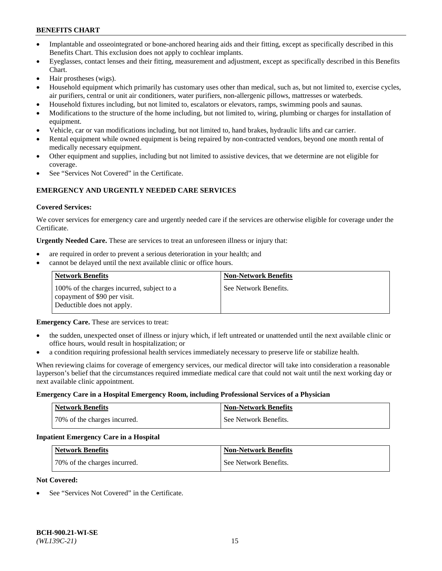- Implantable and osseointegrated or bone-anchored hearing aids and their fitting, except as specifically described in this Benefits Chart. This exclusion does not apply to cochlear implants.
- Eyeglasses, contact lenses and their fitting, measurement and adjustment, except as specifically described in this Benefits Chart.
- Hair prostheses (wigs).
- Household equipment which primarily has customary uses other than medical, such as, but not limited to, exercise cycles, air purifiers, central or unit air conditioners, water purifiers, non-allergenic pillows, mattresses or waterbeds.
- Household fixtures including, but not limited to, escalators or elevators, ramps, swimming pools and saunas.
- Modifications to the structure of the home including, but not limited to, wiring, plumbing or charges for installation of equipment.
- Vehicle, car or van modifications including, but not limited to, hand brakes, hydraulic lifts and car carrier.
- Rental equipment while owned equipment is being repaired by non-contracted vendors, beyond one month rental of medically necessary equipment.
- Other equipment and supplies, including but not limited to assistive devices, that we determine are not eligible for coverage.
- See "Services Not Covered" in the Certificate.

# **EMERGENCY AND URGENTLY NEEDED CARE SERVICES**

### **Covered Services:**

We cover services for emergency care and urgently needed care if the services are otherwise eligible for coverage under the Certificate.

**Urgently Needed Care.** These are services to treat an unforeseen illness or injury that:

- are required in order to prevent a serious deterioration in your health; and
- cannot be delayed until the next available clinic or office hours.

| <b>Network Benefits</b>                                                                                  | <b>Non-Network Benefits</b> |
|----------------------------------------------------------------------------------------------------------|-----------------------------|
| 100% of the charges incurred, subject to a<br>copayment of \$90 per visit.<br>Deductible does not apply. | See Network Benefits.       |

**Emergency Care.** These are services to treat:

- the sudden, unexpected onset of illness or injury which, if left untreated or unattended until the next available clinic or office hours, would result in hospitalization; or
- a condition requiring professional health services immediately necessary to preserve life or stabilize health.

When reviewing claims for coverage of emergency services, our medical director will take into consideration a reasonable layperson's belief that the circumstances required immediate medical care that could not wait until the next working day or next available clinic appointment.

#### **Emergency Care in a Hospital Emergency Room, including Professional Services of a Physician**

| <b>Network Benefits</b>      | <b>Non-Network Benefits</b> |
|------------------------------|-----------------------------|
| 70% of the charges incurred. | See Network Benefits.       |

#### **Inpatient Emergency Care in a Hospital**

| <b>Network Benefits</b>      | <b>Non-Network Benefits</b> |
|------------------------------|-----------------------------|
| 70% of the charges incurred. | See Network Benefits.       |

#### **Not Covered:**

See "Services Not Covered" in the Certificate.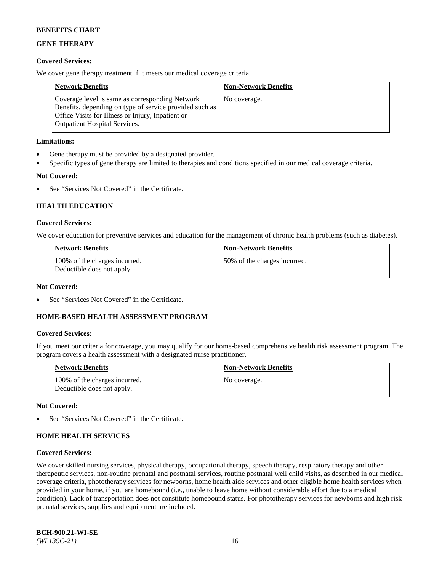# **GENE THERAPY**

## **Covered Services:**

We cover gene therapy treatment if it meets our medical coverage criteria.

| <b>Network Benefits</b>                                                                                                                                                                                 | <b>Non-Network Benefits</b> |
|---------------------------------------------------------------------------------------------------------------------------------------------------------------------------------------------------------|-----------------------------|
| Coverage level is same as corresponding Network<br>Benefits, depending on type of service provided such as<br>Office Visits for Illness or Injury, Inpatient or<br><b>Outpatient Hospital Services.</b> | No coverage.                |

# **Limitations:**

- Gene therapy must be provided by a designated provider.
- Specific types of gene therapy are limited to therapies and conditions specified in our medical coverage criteria.

# **Not Covered:**

See "Services Not Covered" in the Certificate.

# **HEALTH EDUCATION**

### **Covered Services:**

We cover education for preventive services and education for the management of chronic health problems (such as diabetes).

| <b>Network Benefits</b>                                     | <b>Non-Network Benefits</b>  |
|-------------------------------------------------------------|------------------------------|
| 100% of the charges incurred.<br>Deductible does not apply. | 50% of the charges incurred. |

#### **Not Covered:**

See "Services Not Covered" in the Certificate.

# **HOME-BASED HEALTH ASSESSMENT PROGRAM**

#### **Covered Services:**

If you meet our criteria for coverage, you may qualify for our home-based comprehensive health risk assessment program. The program covers a health assessment with a designated nurse practitioner.

| Network Benefits                                            | <b>Non-Network Benefits</b> |
|-------------------------------------------------------------|-----------------------------|
| 100% of the charges incurred.<br>Deductible does not apply. | No coverage.                |

#### **Not Covered:**

See "Services Not Covered" in the Certificate.

# **HOME HEALTH SERVICES**

#### **Covered Services:**

We cover skilled nursing services, physical therapy, occupational therapy, speech therapy, respiratory therapy and other therapeutic services, non-routine prenatal and postnatal services, routine postnatal well child visits, as described in our medical coverage criteria, phototherapy services for newborns, home health aide services and other eligible home health services when provided in your home, if you are homebound (i.e., unable to leave home without considerable effort due to a medical condition). Lack of transportation does not constitute homebound status. For phototherapy services for newborns and high risk prenatal services, supplies and equipment are included.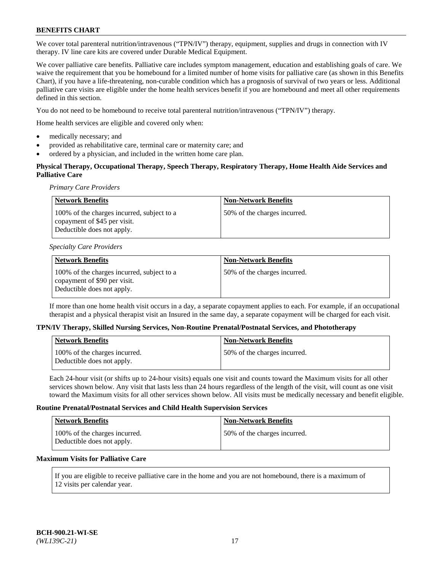We cover total parenteral nutrition/intravenous ("TPN/IV") therapy, equipment, supplies and drugs in connection with IV therapy. IV line care kits are covered under Durable Medical Equipment.

We cover palliative care benefits. Palliative care includes symptom management, education and establishing goals of care. We waive the requirement that you be homebound for a limited number of home visits for palliative care (as shown in this Benefits Chart), if you have a life-threatening, non-curable condition which has a prognosis of survival of two years or less. Additional palliative care visits are eligible under the home health services benefit if you are homebound and meet all other requirements defined in this section.

You do not need to be homebound to receive total parenteral nutrition/intravenous ("TPN/IV") therapy.

Home health services are eligible and covered only when:

- medically necessary; and
- provided as rehabilitative care, terminal care or maternity care; and
- ordered by a physician, and included in the written home care plan.

# **Physical Therapy, Occupational Therapy, Speech Therapy, Respiratory Therapy, Home Health Aide Services and Palliative Care**

*Primary Care Providers*

| <b>Network Benefits</b>                                                                                  | <b>Non-Network Benefits</b>  |
|----------------------------------------------------------------------------------------------------------|------------------------------|
| 100% of the charges incurred, subject to a<br>copayment of \$45 per visit.<br>Deductible does not apply. | 50% of the charges incurred. |

#### *Specialty Care Providers*

| Network Benefits                                                                                         | <b>Non-Network Benefits</b>  |
|----------------------------------------------------------------------------------------------------------|------------------------------|
| 100% of the charges incurred, subject to a<br>copayment of \$90 per visit.<br>Deductible does not apply. | 50% of the charges incurred. |

If more than one home health visit occurs in a day, a separate copayment applies to each. For example, if an occupational therapist and a physical therapist visit an Insured in the same day, a separate copayment will be charged for each visit.

#### **TPN/IV Therapy, Skilled Nursing Services, Non-Routine Prenatal/Postnatal Services, and Phototherapy**

| <b>Network Benefits</b>                                     | <b>Non-Network Benefits</b>   |
|-------------------------------------------------------------|-------------------------------|
| 100% of the charges incurred.<br>Deductible does not apply. | 50\% of the charges incurred. |

Each 24-hour visit (or shifts up to 24-hour visits) equals one visit and counts toward the Maximum visits for all other services shown below. Any visit that lasts less than 24 hours regardless of the length of the visit, will count as one visit toward the Maximum visits for all other services shown below. All visits must be medically necessary and benefit eligible.

### **Routine Prenatal/Postnatal Services and Child Health Supervision Services**

| <b>Network Benefits</b>                                     | <b>Non-Network Benefits</b>  |
|-------------------------------------------------------------|------------------------------|
| 100% of the charges incurred.<br>Deductible does not apply. | 50% of the charges incurred. |

# **Maximum Visits for Palliative Care**

If you are eligible to receive palliative care in the home and you are not homebound, there is a maximum of 12 visits per calendar year.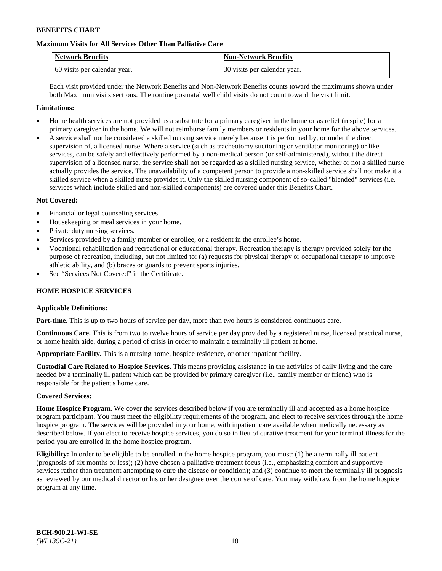# **Maximum Visits for All Services Other Than Palliative Care**

| <b>Network Benefits</b>      | <b>Non-Network Benefits</b>  |
|------------------------------|------------------------------|
| 60 visits per calendar year. | 30 visits per calendar year. |

Each visit provided under the Network Benefits and Non-Network Benefits counts toward the maximums shown under both Maximum visits sections. The routine postnatal well child visits do not count toward the visit limit.

### **Limitations:**

- Home health services are not provided as a substitute for a primary caregiver in the home or as relief (respite) for a primary caregiver in the home. We will not reimburse family members or residents in your home for the above services.
- A service shall not be considered a skilled nursing service merely because it is performed by, or under the direct supervision of, a licensed nurse. Where a service (such as tracheotomy suctioning or ventilator monitoring) or like services, can be safely and effectively performed by a non-medical person (or self-administered), without the direct supervision of a licensed nurse, the service shall not be regarded as a skilled nursing service, whether or not a skilled nurse actually provides the service. The unavailability of a competent person to provide a non-skilled service shall not make it a skilled service when a skilled nurse provides it. Only the skilled nursing component of so-called "blended" services (i.e. services which include skilled and non-skilled components) are covered under this Benefits Chart.

### **Not Covered:**

- Financial or legal counseling services.
- Housekeeping or meal services in your home.
- Private duty nursing services.
- Services provided by a family member or enrollee, or a resident in the enrollee's home.
- Vocational rehabilitation and recreational or educational therapy. Recreation therapy is therapy provided solely for the purpose of recreation, including, but not limited to: (a) requests for physical therapy or occupational therapy to improve athletic ability, and (b) braces or guards to prevent sports injuries.
- See "Services Not Covered" in the Certificate.

# **HOME HOSPICE SERVICES**

#### **Applicable Definitions:**

**Part-time.** This is up to two hours of service per day, more than two hours is considered continuous care.

**Continuous Care.** This is from two to twelve hours of service per day provided by a registered nurse, licensed practical nurse, or home health aide, during a period of crisis in order to maintain a terminally ill patient at home.

**Appropriate Facility.** This is a nursing home, hospice residence, or other inpatient facility.

**Custodial Care Related to Hospice Services.** This means providing assistance in the activities of daily living and the care needed by a terminally ill patient which can be provided by primary caregiver (i.e., family member or friend) who is responsible for the patient's home care.

#### **Covered Services:**

**Home Hospice Program.** We cover the services described below if you are terminally ill and accepted as a home hospice program participant. You must meet the eligibility requirements of the program, and elect to receive services through the home hospice program. The services will be provided in your home, with inpatient care available when medically necessary as described below. If you elect to receive hospice services, you do so in lieu of curative treatment for your terminal illness for the period you are enrolled in the home hospice program.

**Eligibility:** In order to be eligible to be enrolled in the home hospice program, you must: (1) be a terminally ill patient (prognosis of six months or less); (2) have chosen a palliative treatment focus (i.e., emphasizing comfort and supportive services rather than treatment attempting to cure the disease or condition); and (3) continue to meet the terminally ill prognosis as reviewed by our medical director or his or her designee over the course of care. You may withdraw from the home hospice program at any time.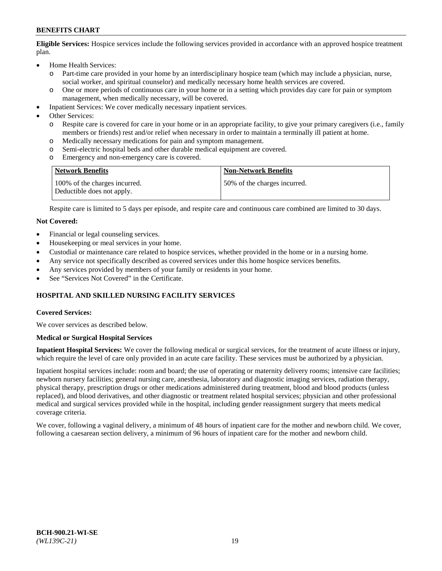**Eligible Services:** Hospice services include the following services provided in accordance with an approved hospice treatment plan.

- Home Health Services:
	- o Part-time care provided in your home by an interdisciplinary hospice team (which may include a physician, nurse, social worker, and spiritual counselor) and medically necessary home health services are covered.
	- o One or more periods of continuous care in your home or in a setting which provides day care for pain or symptom management, when medically necessary, will be covered.
- Inpatient Services: We cover medically necessary inpatient services.
- Other Services:
	- o Respite care is covered for care in your home or in an appropriate facility, to give your primary caregivers (i.e., family members or friends) rest and/or relief when necessary in order to maintain a terminally ill patient at home.
	- o Medically necessary medications for pain and symptom management.
	- Semi-electric hospital beds and other durable medical equipment are covered.
	- o Emergency and non-emergency care is covered.

| Network Benefits                                            | <b>Non-Network Benefits</b>  |
|-------------------------------------------------------------|------------------------------|
| 100% of the charges incurred.<br>Deductible does not apply. | 50% of the charges incurred. |

Respite care is limited to 5 days per episode, and respite care and continuous care combined are limited to 30 days.

### **Not Covered:**

- Financial or legal counseling services.
- Housekeeping or meal services in your home.
- Custodial or maintenance care related to hospice services, whether provided in the home or in a nursing home.
- Any service not specifically described as covered services under this home hospice services benefits.
- Any services provided by members of your family or residents in your home.
- See "Services Not Covered" in the Certificate.

# **HOSPITAL AND SKILLED NURSING FACILITY SERVICES**

#### **Covered Services:**

We cover services as described below.

#### **Medical or Surgical Hospital Services**

**Inpatient Hospital Services:** We cover the following medical or surgical services, for the treatment of acute illness or injury, which require the level of care only provided in an acute care facility. These services must be authorized by a physician.

Inpatient hospital services include: room and board; the use of operating or maternity delivery rooms; intensive care facilities; newborn nursery facilities; general nursing care, anesthesia, laboratory and diagnostic imaging services, radiation therapy, physical therapy, prescription drugs or other medications administered during treatment, blood and blood products (unless replaced), and blood derivatives, and other diagnostic or treatment related hospital services; physician and other professional medical and surgical services provided while in the hospital, including gender reassignment surgery that meets medical coverage criteria.

We cover, following a vaginal delivery, a minimum of 48 hours of inpatient care for the mother and newborn child. We cover, following a caesarean section delivery, a minimum of 96 hours of inpatient care for the mother and newborn child.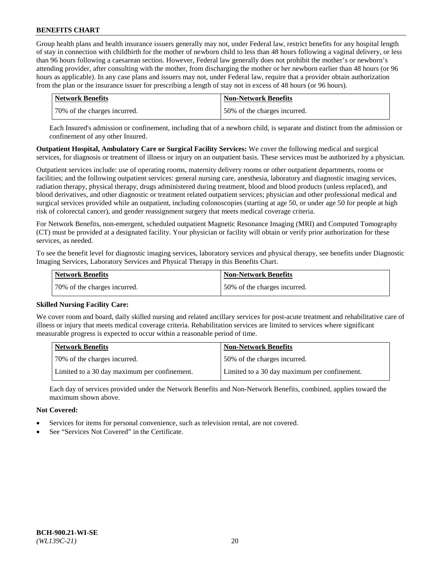Group health plans and health insurance issuers generally may not, under Federal law, restrict benefits for any hospital length of stay in connection with childbirth for the mother of newborn child to less than 48 hours following a vaginal delivery, or less than 96 hours following a caesarean section. However, Federal law generally does not prohibit the mother's or newborn's attending provider, after consulting with the mother, from discharging the mother or her newborn earlier than 48 hours (or 96 hours as applicable). In any case plans and issuers may not, under Federal law, require that a provider obtain authorization from the plan or the insurance issuer for prescribing a length of stay not in excess of 48 hours (or 96 hours).

| Network Benefits             | <b>Non-Network Benefits</b>  |
|------------------------------|------------------------------|
| 70% of the charges incurred. | 50% of the charges incurred. |

Each Insured's admission or confinement, including that of a newborn child, is separate and distinct from the admission or confinement of any other Insured.

**Outpatient Hospital, Ambulatory Care or Surgical Facility Services:** We cover the following medical and surgical services, for diagnosis or treatment of illness or injury on an outpatient basis. These services must be authorized by a physician.

Outpatient services include: use of operating rooms, maternity delivery rooms or other outpatient departments, rooms or facilities; and the following outpatient services: general nursing care, anesthesia, laboratory and diagnostic imaging services, radiation therapy, physical therapy, drugs administered during treatment, blood and blood products (unless replaced), and blood derivatives, and other diagnostic or treatment related outpatient services; physician and other professional medical and surgical services provided while an outpatient, including colonoscopies (starting at age 50, or under age 50 for people at high risk of colorectal cancer), and gender reassignment surgery that meets medical coverage criteria.

For Network Benefits, non-emergent, scheduled outpatient Magnetic Resonance Imaging (MRI) and Computed Tomography (CT) must be provided at a designated facility. Your physician or facility will obtain or verify prior authorization for these services, as needed.

To see the benefit level for diagnostic imaging services, laboratory services and physical therapy, see benefits under Diagnostic Imaging Services, Laboratory Services and Physical Therapy in this Benefits Chart.

| <b>Network Benefits</b>      | <b>Non-Network Benefits</b>  |
|------------------------------|------------------------------|
| 70% of the charges incurred. | 50% of the charges incurred. |

# **Skilled Nursing Facility Care:**

We cover room and board, daily skilled nursing and related ancillary services for post-acute treatment and rehabilitative care of illness or injury that meets medical coverage criteria. Rehabilitation services are limited to services where significant measurable progress is expected to occur within a reasonable period of time.

| <b>Network Benefits</b>                      | <b>Non-Network Benefits</b>                  |
|----------------------------------------------|----------------------------------------------|
| 70% of the charges incurred.                 | 150% of the charges incurred.                |
| Limited to a 30 day maximum per confinement. | Limited to a 30 day maximum per confinement. |

Each day of services provided under the Network Benefits and Non-Network Benefits, combined, applies toward the maximum shown above.

# **Not Covered:**

- Services for items for personal convenience, such as television rental, are not covered.
- See "Services Not Covered" in the Certificate.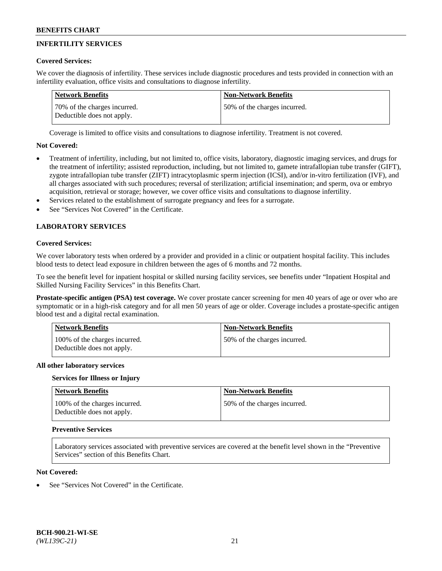# **INFERTILITY SERVICES**

# **Covered Services:**

We cover the diagnosis of infertility. These services include diagnostic procedures and tests provided in connection with an infertility evaluation, office visits and consultations to diagnose infertility.

| Network Benefits                                           | <b>Non-Network Benefits</b>  |
|------------------------------------------------------------|------------------------------|
| 70% of the charges incurred.<br>Deductible does not apply. | 50% of the charges incurred. |

Coverage is limited to office visits and consultations to diagnose infertility. Treatment is not covered.

# **Not Covered:**

- Treatment of infertility, including, but not limited to, office visits, laboratory, diagnostic imaging services, and drugs for the treatment of infertility; assisted reproduction, including, but not limited to, gamete intrafallopian tube transfer (GIFT), zygote intrafallopian tube transfer (ZIFT) intracytoplasmic sperm injection (ICSI), and/or in-vitro fertilization (IVF), and all charges associated with such procedures; reversal of sterilization; artificial insemination; and sperm, ova or embryo acquisition, retrieval or storage; however, we cover office visits and consultations to diagnose infertility.
- Services related to the establishment of surrogate pregnancy and fees for a surrogate.
- See "Services Not Covered" in the Certificate.

# **LABORATORY SERVICES**

### **Covered Services:**

We cover laboratory tests when ordered by a provider and provided in a clinic or outpatient hospital facility. This includes blood tests to detect lead exposure in children between the ages of 6 months and 72 months.

To see the benefit level for inpatient hospital or skilled nursing facility services, see benefits under "Inpatient Hospital and Skilled Nursing Facility Services" in this Benefits Chart.

**Prostate-specific antigen (PSA) test coverage.** We cover prostate cancer screening for men 40 years of age or over who are symptomatic or in a high-risk category and for all men 50 years of age or older. Coverage includes a prostate-specific antigen blood test and a digital rectal examination.

| <b>Network Benefits</b>                                     | <b>Non-Network Benefits</b>   |
|-------------------------------------------------------------|-------------------------------|
| 100% of the charges incurred.<br>Deductible does not apply. | 150% of the charges incurred. |

#### **All other laboratory services**

#### **Services for Illness or Injury**

| Network Benefits                                            | <b>Non-Network Benefits</b>  |
|-------------------------------------------------------------|------------------------------|
| 100% of the charges incurred.<br>Deductible does not apply. | 50% of the charges incurred. |

#### **Preventive Services**

Laboratory services associated with preventive services are covered at the benefit level shown in the "Preventive Services" section of this Benefits Chart.

# **Not Covered:**

See "Services Not Covered" in the Certificate.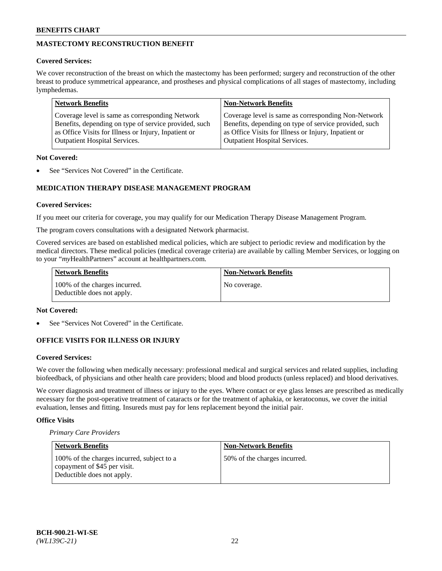# **MASTECTOMY RECONSTRUCTION BENEFIT**

## **Covered Services:**

We cover reconstruction of the breast on which the mastectomy has been performed; surgery and reconstruction of the other breast to produce symmetrical appearance, and prostheses and physical complications of all stages of mastectomy, including lymphedemas.

| <b>Network Benefits</b>                               | <b>Non-Network Benefits</b>                           |
|-------------------------------------------------------|-------------------------------------------------------|
| Coverage level is same as corresponding Network       | Coverage level is same as corresponding Non-Network   |
| Benefits, depending on type of service provided, such | Benefits, depending on type of service provided, such |
| as Office Visits for Illness or Injury, Inpatient or  | as Office Visits for Illness or Injury, Inpatient or  |
| <b>Outpatient Hospital Services.</b>                  | <b>Outpatient Hospital Services.</b>                  |

# **Not Covered:**

See "Services Not Covered" in the Certificate.

# **MEDICATION THERAPY DISEASE MANAGEMENT PROGRAM**

# **Covered Services:**

If you meet our criteria for coverage, you may qualify for our Medication Therapy Disease Management Program.

The program covers consultations with a designated Network pharmacist.

Covered services are based on established medical policies, which are subject to periodic review and modification by the medical directors. These medical policies (medical coverage criteria) are available by calling Member Services, or logging on to your "*my*HealthPartners" account at [healthpartners.com.](http://www.healthpartners.com/)

| Network Benefits                                            | <b>Non-Network Benefits</b> |
|-------------------------------------------------------------|-----------------------------|
| 100% of the charges incurred.<br>Deductible does not apply. | No coverage.                |

### **Not Covered:**

See "Services Not Covered" in the Certificate.

# **OFFICE VISITS FOR ILLNESS OR INJURY**

#### **Covered Services:**

We cover the following when medically necessary: professional medical and surgical services and related supplies, including biofeedback, of physicians and other health care providers; blood and blood products (unless replaced) and blood derivatives.

We cover diagnosis and treatment of illness or injury to the eyes. Where contact or eye glass lenses are prescribed as medically necessary for the post-operative treatment of cataracts or for the treatment of aphakia, or keratoconus, we cover the initial evaluation, lenses and fitting. Insureds must pay for lens replacement beyond the initial pair.

# **Office Visits**

*Primary Care Providers*

| Network Benefits                                                                                         | <b>Non-Network Benefits</b>  |
|----------------------------------------------------------------------------------------------------------|------------------------------|
| 100% of the charges incurred, subject to a<br>copayment of \$45 per visit.<br>Deductible does not apply. | 50% of the charges incurred. |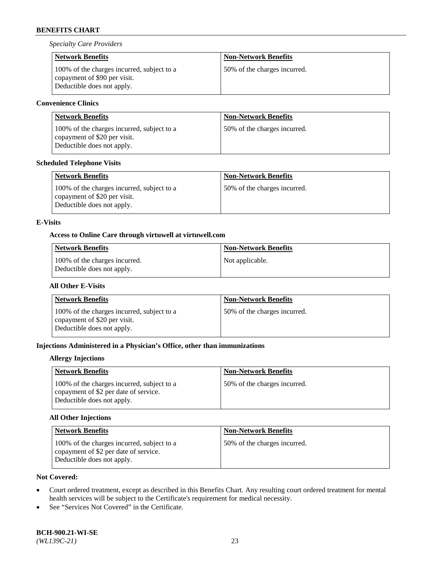*Specialty Care Providers*

| <b>Network Benefits</b>                                                                                  | <b>Non-Network Benefits</b>  |
|----------------------------------------------------------------------------------------------------------|------------------------------|
| 100% of the charges incurred, subject to a<br>copayment of \$90 per visit.<br>Deductible does not apply. | 50% of the charges incurred. |

# **Convenience Clinics**

| <b>Network Benefits</b>                                                                                  | <b>Non-Network Benefits</b>  |
|----------------------------------------------------------------------------------------------------------|------------------------------|
| 100% of the charges incurred, subject to a<br>copayment of \$20 per visit.<br>Deductible does not apply. | 50% of the charges incurred. |

## **Scheduled Telephone Visits**

| <b>Network Benefits</b>                                                                                  | <b>Non-Network Benefits</b>  |
|----------------------------------------------------------------------------------------------------------|------------------------------|
| 100% of the charges incurred, subject to a<br>copayment of \$20 per visit.<br>Deductible does not apply. | 50% of the charges incurred. |

# **E-Visits**

### **Access to Online Care through virtuwell a[t virtuwell.com](https://www.virtuwell.com/)**

| <b>Network Benefits</b>                                     | <b>Non-Network Benefits</b> |
|-------------------------------------------------------------|-----------------------------|
| 100% of the charges incurred.<br>Deductible does not apply. | Not applicable.             |

# **All Other E-Visits**

| <b>Network Benefits</b>                                                                                  | <b>Non-Network Benefits</b>  |
|----------------------------------------------------------------------------------------------------------|------------------------------|
| 100% of the charges incurred, subject to a<br>copayment of \$20 per visit.<br>Deductible does not apply. | 50% of the charges incurred. |

# **Injections Administered in a Physician's Office, other than immunizations**

### **Allergy Injections**

| <b>Network Benefits</b>                                                                                           | <b>Non-Network Benefits</b>  |
|-------------------------------------------------------------------------------------------------------------------|------------------------------|
| 100% of the charges incurred, subject to a<br>copayment of \$2 per date of service.<br>Deductible does not apply. | 50% of the charges incurred. |

# **All Other Injections**

| <b>Network Benefits</b>                                                                                           | <b>Non-Network Benefits</b>  |
|-------------------------------------------------------------------------------------------------------------------|------------------------------|
| 100% of the charges incurred, subject to a<br>copayment of \$2 per date of service.<br>Deductible does not apply. | 50% of the charges incurred. |

# **Not Covered:**

- Court ordered treatment, except as described in this Benefits Chart. Any resulting court ordered treatment for mental health services will be subject to the Certificate's requirement for medical necessity.
- See "Services Not Covered" in the Certificate.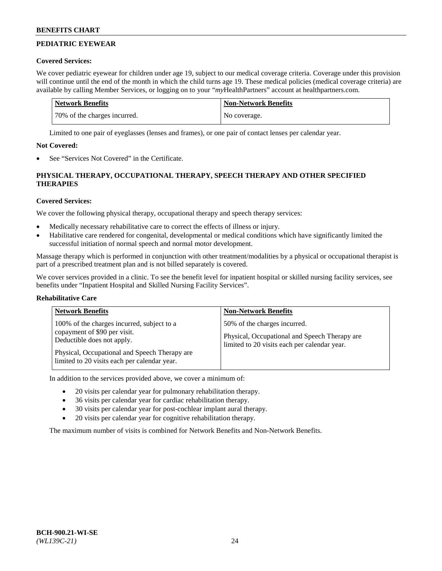# **PEDIATRIC EYEWEAR**

# **Covered Services:**

We cover pediatric eyewear for children under age 19, subject to our medical coverage criteria. Coverage under this provision will continue until the end of the month in which the child turns age 19. These medical policies (medical coverage criteria) are available by calling Member Services, or logging on to your "*my*HealthPartners" account a[t healthpartners.com.](https://www.healthpartners.com/hp/index.html)

| Network Benefits             | <b>Non-Network Benefits</b> |
|------------------------------|-----------------------------|
| 70% of the charges incurred. | No coverage.                |

Limited to one pair of eyeglasses (lenses and frames), or one pair of contact lenses per calendar year.

# **Not Covered:**

See "Services Not Covered" in the Certificate.

# **PHYSICAL THERAPY, OCCUPATIONAL THERAPY, SPEECH THERAPY AND OTHER SPECIFIED THERAPIES**

# **Covered Services:**

We cover the following physical therapy, occupational therapy and speech therapy services:

- Medically necessary rehabilitative care to correct the effects of illness or injury.
- Habilitative care rendered for congenital, developmental or medical conditions which have significantly limited the successful initiation of normal speech and normal motor development.

Massage therapy which is performed in conjunction with other treatment/modalities by a physical or occupational therapist is part of a prescribed treatment plan and is not billed separately is covered.

We cover services provided in a clinic. To see the benefit level for inpatient hospital or skilled nursing facility services, see benefits under "Inpatient Hospital and Skilled Nursing Facility Services".

# **Rehabilitative Care**

| <b>Network Benefits</b>                                                                                                                                                                                   | <b>Non-Network Benefits</b>                                                                                                   |
|-----------------------------------------------------------------------------------------------------------------------------------------------------------------------------------------------------------|-------------------------------------------------------------------------------------------------------------------------------|
| 100% of the charges incurred, subject to a<br>copayment of \$90 per visit.<br>Deductible does not apply.<br>Physical, Occupational and Speech Therapy are<br>limited to 20 visits each per calendar year. | 50% of the charges incurred.<br>Physical, Occupational and Speech Therapy are<br>limited to 20 visits each per calendar year. |

In addition to the services provided above, we cover a minimum of:

- 20 visits per calendar year for pulmonary rehabilitation therapy.
- 36 visits per calendar year for cardiac rehabilitation therapy.
- 30 visits per calendar year for post-cochlear implant aural therapy.
- 20 visits per calendar year for cognitive rehabilitation therapy.

The maximum number of visits is combined for Network Benefits and Non-Network Benefits.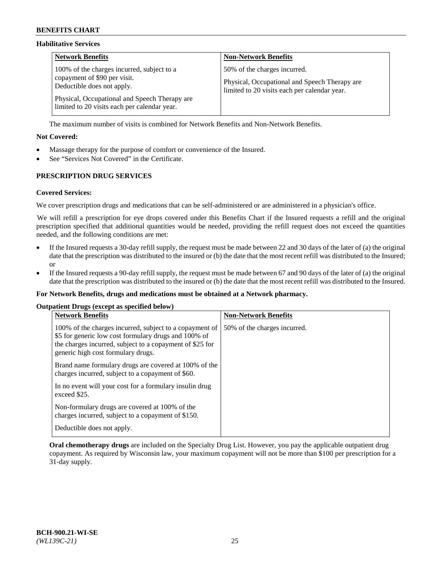### **Habilitative Services**

| <b>Network Benefits</b>                                                                                                                                                                                   | <b>Non-Network Benefits</b>                                                                                                   |
|-----------------------------------------------------------------------------------------------------------------------------------------------------------------------------------------------------------|-------------------------------------------------------------------------------------------------------------------------------|
| 100% of the charges incurred, subject to a<br>copayment of \$90 per visit.<br>Deductible does not apply.<br>Physical, Occupational and Speech Therapy are<br>limited to 20 visits each per calendar year. | 50% of the charges incurred.<br>Physical, Occupational and Speech Therapy are<br>limited to 20 visits each per calendar year. |

The maximum number of visits is combined for Network Benefits and Non-Network Benefits.

### **Not Covered:**

- Massage therapy for the purpose of comfort or convenience of the Insured.
- See "Services Not Covered" in the Certificate.

# **PRESCRIPTION DRUG SERVICES**

### **Covered Services:**

We cover prescription drugs and medications that can be self-administered or are administered in a physician's office.

We will refill a prescription for eye drops covered under this Benefits Chart if the Insured requests a refill and the original prescription specified that additional quantities would be needed, providing the refill request does not exceed the quantities needed, and the following conditions are met:

- If the Insured requests a 30-day refill supply, the request must be made between 22 and 30 days of the later of (a) the original date that the prescription was distributed to the insured or (b) the date that the most recent refill was distributed to the Insured; or
- If the Insured requests a 90-day refill supply, the request must be made between 67 and 90 days of the later of (a) the original date that the prescription was distributed to the insured or (b) the date that the most recent refill was distributed to the Insured.

#### **For Network Benefits, drugs and medications must be obtained at a Network pharmacy.**

#### **Outpatient Drugs (except as specified below)**

| <b>Network Benefits</b>                                                                                                                                                                                           | <b>Non-Network Benefits</b>  |
|-------------------------------------------------------------------------------------------------------------------------------------------------------------------------------------------------------------------|------------------------------|
| 100% of the charges incurred, subject to a copayment of<br>\$5 for generic low cost formulary drugs and 100% of<br>the charges incurred, subject to a copayment of \$25 for<br>generic high cost formulary drugs. | 50% of the charges incurred. |
| Brand name formulary drugs are covered at 100% of the<br>charges incurred, subject to a copayment of \$60.                                                                                                        |                              |
| In no event will your cost for a formulary insulin drug<br>exceed \$25.                                                                                                                                           |                              |
| Non-formulary drugs are covered at 100% of the<br>charges incurred, subject to a copayment of \$150.                                                                                                              |                              |
| Deductible does not apply.                                                                                                                                                                                        |                              |

**Oral chemotherapy drugs** are included on the Specialty Drug List. However, you pay the applicable outpatient drug copayment. As required by Wisconsin law, your maximum copayment will not be more than \$100 per prescription for a 31-day supply.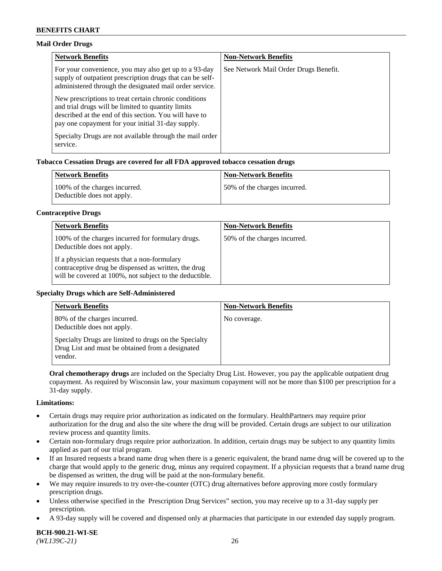### **Mail Order Drugs**

| <b>Network Benefits</b>                                                                                                                                                                                                    | <b>Non-Network Benefits</b>           |
|----------------------------------------------------------------------------------------------------------------------------------------------------------------------------------------------------------------------------|---------------------------------------|
| For your convenience, you may also get up to a 93-day<br>supply of outpatient prescription drugs that can be self-<br>administered through the designated mail order service.                                              | See Network Mail Order Drugs Benefit. |
| New prescriptions to treat certain chronic conditions<br>and trial drugs will be limited to quantity limits<br>described at the end of this section. You will have to<br>pay one copayment for your initial 31-day supply. |                                       |
| Specialty Drugs are not available through the mail order<br>service.                                                                                                                                                       |                                       |

# **Tobacco Cessation Drugs are covered for all FDA approved tobacco cessation drugs**

| <b>Network Benefits</b>                                     | <b>Non-Network Benefits</b>  |
|-------------------------------------------------------------|------------------------------|
| 100% of the charges incurred.<br>Deductible does not apply. | 50% of the charges incurred. |

#### **Contraceptive Drugs**

| <b>Network Benefits</b>                                                                                                                                         | <b>Non-Network Benefits</b>  |
|-----------------------------------------------------------------------------------------------------------------------------------------------------------------|------------------------------|
| 100% of the charges incurred for formulary drugs.<br>Deductible does not apply.                                                                                 | 50% of the charges incurred. |
| If a physician requests that a non-formulary<br>contraceptive drug be dispensed as written, the drug<br>will be covered at 100%, not subject to the deductible. |                              |

#### **Specialty Drugs which are Self-Administered**

| <b>Network Benefits</b>                                                                                              | <b>Non-Network Benefits</b> |
|----------------------------------------------------------------------------------------------------------------------|-----------------------------|
| 80% of the charges incurred.<br>Deductible does not apply.                                                           | No coverage.                |
| Specialty Drugs are limited to drugs on the Specialty<br>Drug List and must be obtained from a designated<br>vendor. |                             |

**Oral chemotherapy drugs** are included on the Specialty Drug List. However, you pay the applicable outpatient drug copayment. As required by Wisconsin law, your maximum copayment will not be more than \$100 per prescription for a 31-day supply.

#### **Limitations:**

- Certain drugs may require prior authorization as indicated on the formulary. HealthPartners may require prior authorization for the drug and also the site where the drug will be provided. Certain drugs are subject to our utilization review process and quantity limits.
- Certain non-formulary drugs require prior authorization. In addition, certain drugs may be subject to any quantity limits applied as part of our trial program.
- If an Insured requests a brand name drug when there is a generic equivalent, the brand name drug will be covered up to the charge that would apply to the generic drug, minus any required copayment. If a physician requests that a brand name drug be dispensed as written, the drug will be paid at the non-formulary benefit.
- We may require insureds to try over-the-counter (OTC) drug alternatives before approving more costly formulary prescription drugs.
- Unless otherwise specified in the Prescription Drug Services" section, you may receive up to a 31-day supply per prescription.
- A 93-day supply will be covered and dispensed only at pharmacies that participate in our extended day supply program.

**BCH-900.21-WI-SE**  *(WL139C-21)* 26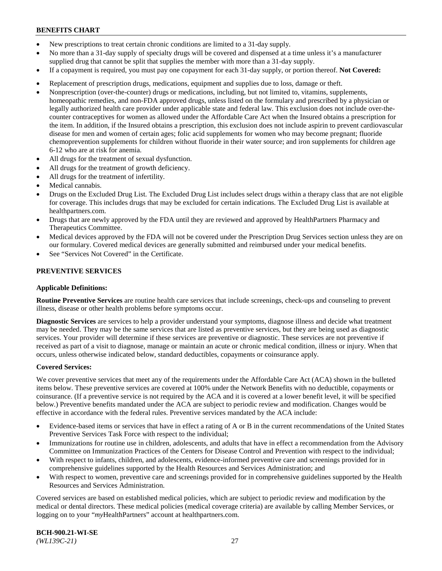- New prescriptions to treat certain chronic conditions are limited to a 31-day supply.
- No more than a 31-day supply of specialty drugs will be covered and dispensed at a time unless it's a manufacturer supplied drug that cannot be split that supplies the member with more than a 31-day supply.
- If a copayment is required, you must pay one copayment for each 31-day supply, or portion thereof. **Not Covered:**
- Replacement of prescription drugs, medications, equipment and supplies due to loss, damage or theft.
- Nonprescription (over-the-counter) drugs or medications, including, but not limited to, vitamins, supplements, homeopathic remedies, and non-FDA approved drugs, unless listed on the formulary and prescribed by a physician or legally authorized health care provider under applicable state and federal law. This exclusion does not include over-thecounter contraceptives for women as allowed under the Affordable Care Act when the Insured obtains a prescription for the item. In addition, if the Insured obtains a prescription, this exclusion does not include aspirin to prevent cardiovascular disease for men and women of certain ages; folic acid supplements for women who may become pregnant; fluoride chemoprevention supplements for children without fluoride in their water source; and iron supplements for children age 6-12 who are at risk for anemia.
- All drugs for the treatment of sexual dysfunction.
- All drugs for the treatment of growth deficiency.
- All drugs for the treatment of infertility.
- Medical cannabis.
- Drugs on the Excluded Drug List. The Excluded Drug List includes select drugs within a therapy class that are not eligible for coverage. This includes drugs that may be excluded for certain indications. The Excluded Drug List is available at [healthpartners.com.](http://www.healthpartners.com/)
- Drugs that are newly approved by the FDA until they are reviewed and approved by HealthPartners Pharmacy and Therapeutics Committee.
- Medical devices approved by the FDA will not be covered under the Prescription Drug Services section unless they are on our formulary. Covered medical devices are generally submitted and reimbursed under your medical benefits.
- See "Services Not Covered" in the Certificate.

# **PREVENTIVE SERVICES**

#### **Applicable Definitions:**

**Routine Preventive Services** are routine health care services that include screenings, check-ups and counseling to prevent illness, disease or other health problems before symptoms occur.

**Diagnostic Services** are services to help a provider understand your symptoms, diagnose illness and decide what treatment may be needed. They may be the same services that are listed as preventive services, but they are being used as diagnostic services. Your provider will determine if these services are preventive or diagnostic. These services are not preventive if received as part of a visit to diagnose, manage or maintain an acute or chronic medical condition, illness or injury. When that occurs, unless otherwise indicated below, standard deductibles, copayments or coinsurance apply.

#### **Covered Services:**

We cover preventive services that meet any of the requirements under the Affordable Care Act (ACA) shown in the bulleted items below. These preventive services are covered at 100% under the Network Benefits with no deductible, copayments or coinsurance. (If a preventive service is not required by the ACA and it is covered at a lower benefit level, it will be specified below.) Preventive benefits mandated under the ACA are subject to periodic review and modification. Changes would be effective in accordance with the federal rules. Preventive services mandated by the ACA include:

- Evidence-based items or services that have in effect a rating of A or B in the current recommendations of the United States Preventive Services Task Force with respect to the individual;
- Immunizations for routine use in children, adolescents, and adults that have in effect a recommendation from the Advisory Committee on Immunization Practices of the Centers for Disease Control and Prevention with respect to the individual;
- With respect to infants, children, and adolescents, evidence-informed preventive care and screenings provided for in comprehensive guidelines supported by the Health Resources and Services Administration; and
- With respect to women, preventive care and screenings provided for in comprehensive guidelines supported by the Health Resources and Services Administration.

Covered services are based on established medical policies, which are subject to periodic review and modification by the medical or dental directors. These medical policies (medical coverage criteria) are available by calling Member Services, or logging on to your "*my*HealthPartners" account at [healthpartners.com.](https://www.healthpartners.com/hp/index.html)

**BCH-900.21-WI-SE**  *(WL139C-21)* 27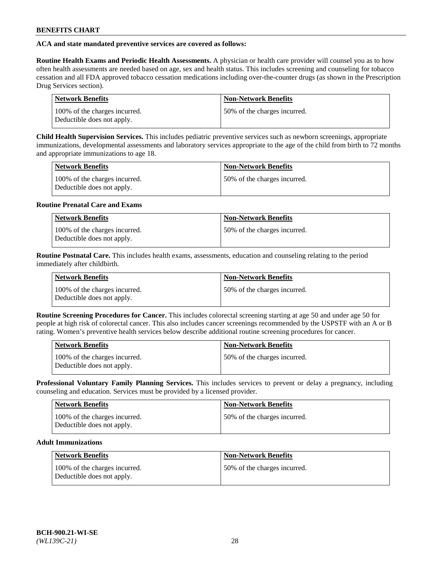# **ACA and state mandated preventive services are covered as follows:**

**Routine Health Exams and Periodic Health Assessments.** A physician or health care provider will counsel you as to how often health assessments are needed based on age, sex and health status. This includes screening and counseling for tobacco cessation and all FDA approved tobacco cessation medications including over-the-counter drugs (as shown in the Prescription Drug Services section).

| Network Benefits                                            | <b>Non-Network Benefits</b>  |
|-------------------------------------------------------------|------------------------------|
| 100% of the charges incurred.<br>Deductible does not apply. | 50% of the charges incurred. |

**Child Health Supervision Services.** This includes pediatric preventive services such as newborn screenings, appropriate immunizations, developmental assessments and laboratory services appropriate to the age of the child from birth to 72 months and appropriate immunizations to age 18.

| <b>Network Benefits</b>                                     | <b>Non-Network Benefits</b>  |
|-------------------------------------------------------------|------------------------------|
| 100% of the charges incurred.<br>Deductible does not apply. | 50% of the charges incurred. |

### **Routine Prenatal Care and Exams**

| <b>Network Benefits</b>                                     | <b>Non-Network Benefits</b>   |
|-------------------------------------------------------------|-------------------------------|
| 100% of the charges incurred.<br>Deductible does not apply. | 150% of the charges incurred. |

**Routine Postnatal Care.** This includes health exams, assessments, education and counseling relating to the period immediately after childbirth.

| <b>Network Benefits</b>                                     | <b>Non-Network Benefits</b>  |
|-------------------------------------------------------------|------------------------------|
| 100% of the charges incurred.<br>Deductible does not apply. | 50% of the charges incurred. |

**Routine Screening Procedures for Cancer.** This includes colorectal screening starting at age 50 and under age 50 for people at high risk of colorectal cancer. This also includes cancer screenings recommended by the USPSTF with an A or B rating. Women's preventive health services below describe additional routine screening procedures for cancer.

| <b>Network Benefits</b>                                     | <b>Non-Network Benefits</b>  |
|-------------------------------------------------------------|------------------------------|
| 100% of the charges incurred.<br>Deductible does not apply. | 50% of the charges incurred. |

**Professional Voluntary Family Planning Services.** This includes services to prevent or delay a pregnancy, including counseling and education. Services must be provided by a licensed provider.

| Network Benefits                                            | <b>Non-Network Benefits</b>  |
|-------------------------------------------------------------|------------------------------|
| 100% of the charges incurred.<br>Deductible does not apply. | 50% of the charges incurred. |

# **Adult Immunizations**

| <b>Network Benefits</b>                                     | Non-Network Benefits         |
|-------------------------------------------------------------|------------------------------|
| 100% of the charges incurred.<br>Deductible does not apply. | 50% of the charges incurred. |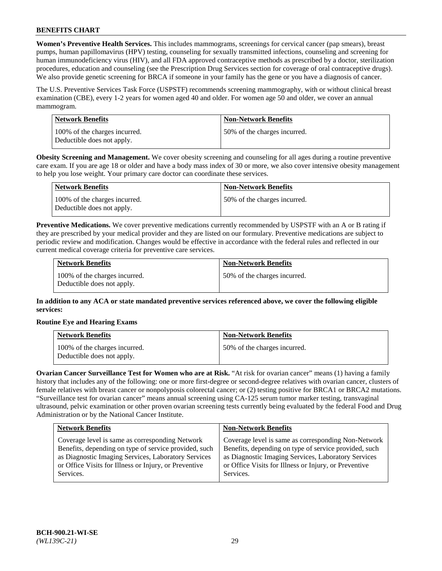**Women's Preventive Health Services.** This includes mammograms, screenings for cervical cancer (pap smears), breast pumps, human papillomavirus (HPV) testing, counseling for sexually transmitted infections, counseling and screening for human immunodeficiency virus (HIV), and all FDA approved contraceptive methods as prescribed by a doctor, sterilization procedures, education and counseling (see the Prescription Drug Services section for coverage of oral contraceptive drugs). We also provide genetic screening for BRCA if someone in your family has the gene or you have a diagnosis of cancer.

The U.S. Preventive Services Task Force (USPSTF) recommends screening mammography, with or without clinical breast examination (CBE), every 1-2 years for women aged 40 and older. For women age 50 and older, we cover an annual mammogram.

| Network Benefits                                            | <b>Non-Network Benefits</b>  |
|-------------------------------------------------------------|------------------------------|
| 100% of the charges incurred.<br>Deductible does not apply. | 50% of the charges incurred. |

**Obesity Screening and Management.** We cover obesity screening and counseling for all ages during a routine preventive care exam. If you are age 18 or older and have a body mass index of 30 or more, we also cover intensive obesity management to help you lose weight. Your primary care doctor can coordinate these services.

| Network Benefits                                            | <b>Non-Network Benefits</b>  |
|-------------------------------------------------------------|------------------------------|
| 100% of the charges incurred.<br>Deductible does not apply. | 50% of the charges incurred. |

**Preventive Medications.** We cover preventive medications currently recommended by USPSTF with an A or B rating if they are prescribed by your medical provider and they are listed on our formulary. Preventive medications are subject to periodic review and modification. Changes would be effective in accordance with the federal rules and reflected in our current medical coverage criteria for preventive care services.

| <b>Network Benefits</b>                                     | <b>Non-Network Benefits</b>  |
|-------------------------------------------------------------|------------------------------|
| 100% of the charges incurred.<br>Deductible does not apply. | 50% of the charges incurred. |

**In addition to any ACA or state mandated preventive services referenced above, we cover the following eligible services:**

# **Routine Eye and Hearing Exams**

| <b>Network Benefits</b>                                     | <b>Non-Network Benefits</b>  |
|-------------------------------------------------------------|------------------------------|
| 100% of the charges incurred.<br>Deductible does not apply. | 50% of the charges incurred. |

**Ovarian Cancer Surveillance Test for Women who are at Risk.** "At risk for ovarian cancer" means (1) having a family history that includes any of the following: one or more first-degree or second-degree relatives with ovarian cancer, clusters of female relatives with breast cancer or nonpolyposis colorectal cancer; or (2) testing positive for BRCA1 or BRCA2 mutations. "Surveillance test for ovarian cancer" means annual screening using CA-125 serum tumor marker testing, transvaginal ultrasound, pelvic examination or other proven ovarian screening tests currently being evaluated by the federal Food and Drug Administration or by the National Cancer Institute.

| <b>Network Benefits</b>                               | <b>Non-Network Benefits</b>                           |
|-------------------------------------------------------|-------------------------------------------------------|
| Coverage level is same as corresponding Network       | Coverage level is same as corresponding Non-Network   |
| Benefits, depending on type of service provided, such | Benefits, depending on type of service provided, such |
| as Diagnostic Imaging Services, Laboratory Services   | as Diagnostic Imaging Services, Laboratory Services   |
| or Office Visits for Illness or Injury, or Preventive | or Office Visits for Illness or Injury, or Preventive |
| Services.                                             | Services.                                             |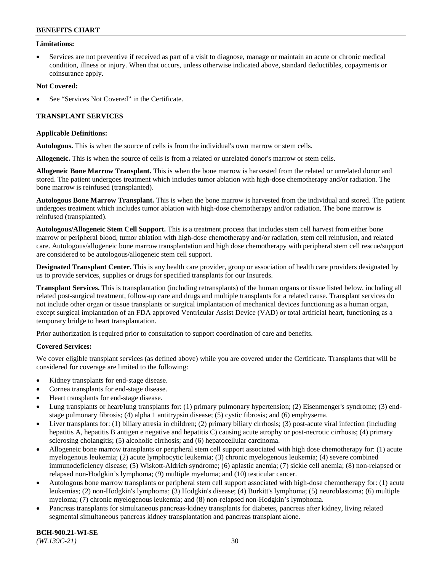### **Limitations:**

• Services are not preventive if received as part of a visit to diagnose, manage or maintain an acute or chronic medical condition, illness or injury. When that occurs, unless otherwise indicated above, standard deductibles, copayments or coinsurance apply.

### **Not Covered:**

See "Services Not Covered" in the Certificate.

# **TRANSPLANT SERVICES**

### **Applicable Definitions:**

**Autologous.** This is when the source of cells is from the individual's own marrow or stem cells.

**Allogeneic.** This is when the source of cells is from a related or unrelated donor's marrow or stem cells.

**Allogeneic Bone Marrow Transplant.** This is when the bone marrow is harvested from the related or unrelated donor and stored. The patient undergoes treatment which includes tumor ablation with high-dose chemotherapy and/or radiation. The bone marrow is reinfused (transplanted).

**Autologous Bone Marrow Transplant.** This is when the bone marrow is harvested from the individual and stored. The patient undergoes treatment which includes tumor ablation with high-dose chemotherapy and/or radiation. The bone marrow is reinfused (transplanted).

**Autologous/Allogeneic Stem Cell Support.** This is a treatment process that includes stem cell harvest from either bone marrow or peripheral blood, tumor ablation with high-dose chemotherapy and/or radiation, stem cell reinfusion, and related care. Autologous/allogeneic bone marrow transplantation and high dose chemotherapy with peripheral stem cell rescue/support are considered to be autologous/allogeneic stem cell support.

**Designated Transplant Center.** This is any health care provider, group or association of health care providers designated by us to provide services, supplies or drugs for specified transplants for our Insureds.

**Transplant Services.** This is transplantation (including retransplants) of the human organs or tissue listed below, including all related post-surgical treatment, follow-up care and drugs and multiple transplants for a related cause. Transplant services do not include other organ or tissue transplants or surgical implantation of mechanical devices functioning as a human organ, except surgical implantation of an FDA approved Ventricular Assist Device (VAD) or total artificial heart, functioning as a temporary bridge to heart transplantation.

Prior authorization is required prior to consultation to support coordination of care and benefits.

# **Covered Services:**

We cover eligible transplant services (as defined above) while you are covered under the Certificate. Transplants that will be considered for coverage are limited to the following:

- Kidney transplants for end-stage disease.
- Cornea transplants for end-stage disease.
- Heart transplants for end-stage disease.
- Lung transplants or heart/lung transplants for: (1) primary pulmonary hypertension; (2) Eisenmenger's syndrome; (3) endstage pulmonary fibrosis; (4) alpha 1 antitrypsin disease; (5) cystic fibrosis; and (6) emphysema.
- Liver transplants for: (1) biliary atresia in children; (2) primary biliary cirrhosis; (3) post-acute viral infection (including hepatitis A, hepatitis B antigen e negative and hepatitis C) causing acute atrophy or post-necrotic cirrhosis; (4) primary sclerosing cholangitis; (5) alcoholic cirrhosis; and (6) hepatocellular carcinoma.
- Allogeneic bone marrow transplants or peripheral stem cell support associated with high dose chemotherapy for: (1) acute myelogenous leukemia; (2) acute lymphocytic leukemia; (3) chronic myelogenous leukemia; (4) severe combined immunodeficiency disease; (5) Wiskott-Aldrich syndrome; (6) aplastic anemia; (7) sickle cell anemia; (8) non-relapsed or relapsed non-Hodgkin's lymphoma; (9) multiple myeloma; and (10) testicular cancer.
- Autologous bone marrow transplants or peripheral stem cell support associated with high-dose chemotherapy for: (1) acute leukemias; (2) non-Hodgkin's lymphoma; (3) Hodgkin's disease; (4) Burkitt's lymphoma; (5) neuroblastoma; (6) multiple myeloma; (7) chronic myelogenous leukemia; and (8) non-relapsed non-Hodgkin's lymphoma.
- Pancreas transplants for simultaneous pancreas-kidney transplants for diabetes, pancreas after kidney, living related segmental simultaneous pancreas kidney transplantation and pancreas transplant alone.